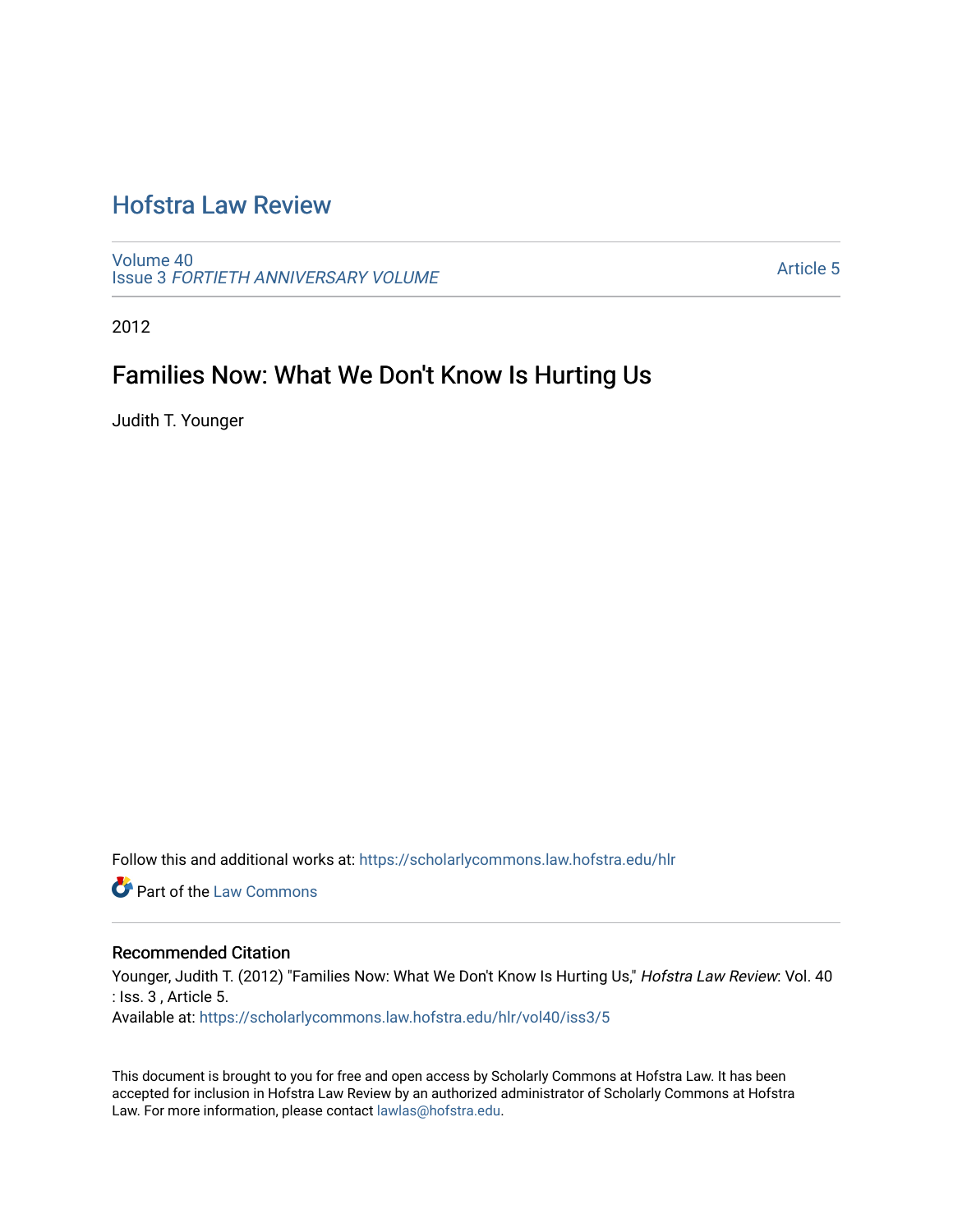# [Hofstra Law Review](https://scholarlycommons.law.hofstra.edu/hlr)

[Volume 40](https://scholarlycommons.law.hofstra.edu/hlr/vol40) Issue 3 [FORTIETH ANNIVERSARY VOLUME](https://scholarlycommons.law.hofstra.edu/hlr/vol40/iss3)

[Article 5](https://scholarlycommons.law.hofstra.edu/hlr/vol40/iss3/5) 

2012

# Families Now: What We Don't Know Is Hurting Us

Judith T. Younger

Follow this and additional works at: [https://scholarlycommons.law.hofstra.edu/hlr](https://scholarlycommons.law.hofstra.edu/hlr?utm_source=scholarlycommons.law.hofstra.edu%2Fhlr%2Fvol40%2Fiss3%2F5&utm_medium=PDF&utm_campaign=PDFCoverPages)

**C** Part of the [Law Commons](http://network.bepress.com/hgg/discipline/578?utm_source=scholarlycommons.law.hofstra.edu%2Fhlr%2Fvol40%2Fiss3%2F5&utm_medium=PDF&utm_campaign=PDFCoverPages)

# Recommended Citation

Younger, Judith T. (2012) "Families Now: What We Don't Know Is Hurting Us," Hofstra Law Review: Vol. 40 : Iss. 3 , Article 5.

Available at: [https://scholarlycommons.law.hofstra.edu/hlr/vol40/iss3/5](https://scholarlycommons.law.hofstra.edu/hlr/vol40/iss3/5?utm_source=scholarlycommons.law.hofstra.edu%2Fhlr%2Fvol40%2Fiss3%2F5&utm_medium=PDF&utm_campaign=PDFCoverPages)

This document is brought to you for free and open access by Scholarly Commons at Hofstra Law. It has been accepted for inclusion in Hofstra Law Review by an authorized administrator of Scholarly Commons at Hofstra Law. For more information, please contact [lawlas@hofstra.edu.](mailto:lawlas@hofstra.edu)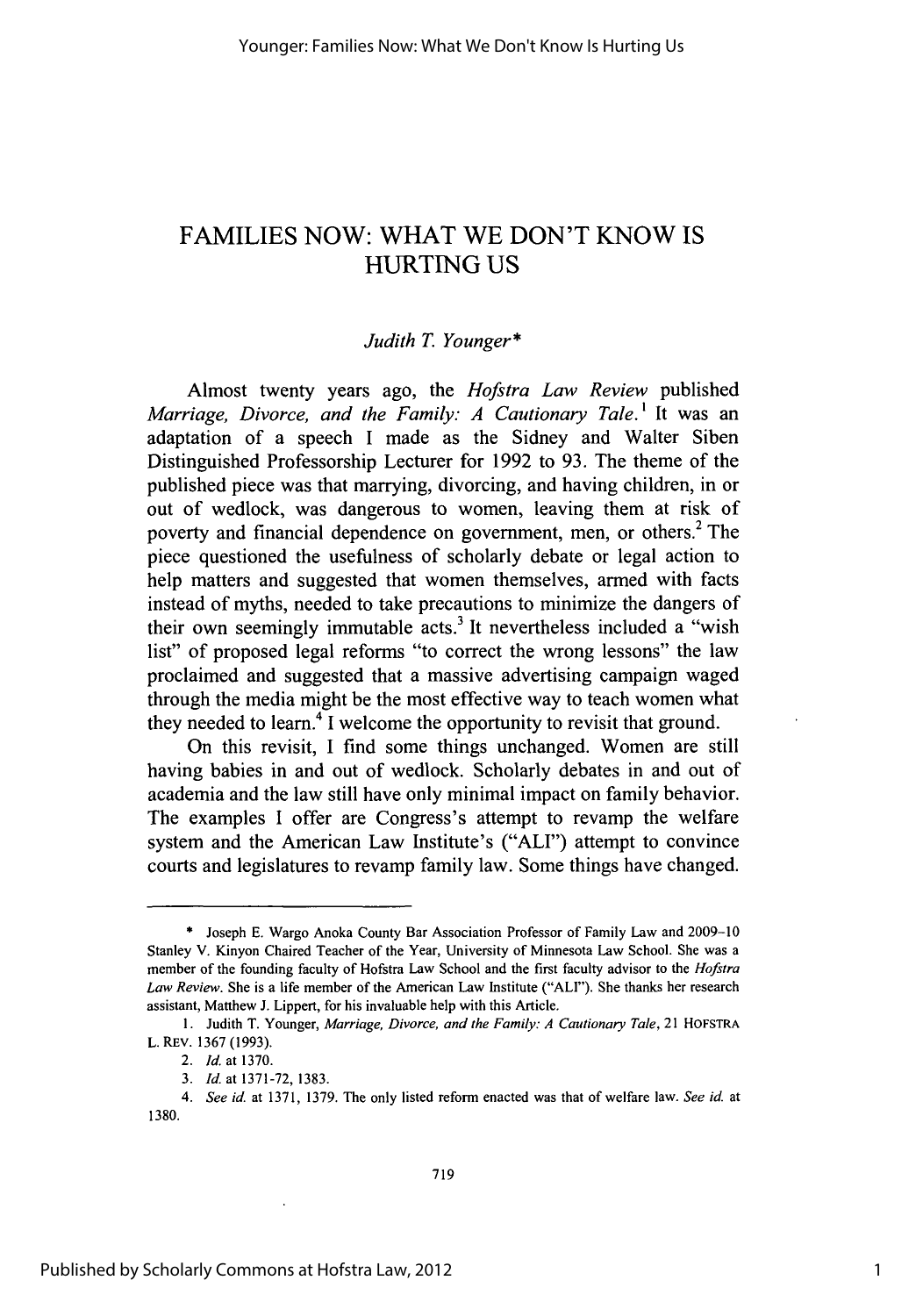# FAMILIES NOW: WHAT WE DON'T KNOW IS HURTING US

# *Judith T. Younger\**

Almost twenty years ago, the *Hofstra Law Review* published *Marriage, Divorce, and the Family: A Cautionary Tale.*<sup>1</sup> It was an adaptation of a speech I made as the Sidney and Walter Siben Distinguished Professorship Lecturer for 1992 to 93. The theme of the published piece was that marrying, divorcing, and having children, in or out of wedlock, was dangerous to women, leaving them at risk of poverty and financial dependence on government, men, or others.<sup>2</sup> The piece questioned the usefulness of scholarly debate or legal action to help matters and suggested that women themselves, armed with facts instead of myths, needed to take precautions to minimize the dangers of their own seemingly immutable acts.<sup>3</sup> It nevertheless included a "wish list" of proposed legal reforms "to correct the wrong lessons" the law proclaimed and suggested that a massive advertising campaign waged through the media might be the most effective way to teach women what they needed to learn.4 **I** welcome the opportunity to revisit that ground.

On this revisit, I find some things unchanged. Women are still having babies in and out of wedlock. Scholarly debates in and out of academia and the law still have only minimal impact on family behavior. The examples I offer are Congress's attempt to revamp the welfare system and the American Law Institute's ("ALl") attempt to convince courts and legislatures to revamp family law. Some things have changed.

<sup>\*</sup> Joseph E. Wargo Anoka County Bar Association Professor of Family Law and 2009-10 Stanley V. Kinyon Chaired Teacher of the Year, University of Minnesota Law School. She was a member of the founding faculty of Hofstra Law School and the first faculty advisor to the *Hofstra Law Review.* She is a life member of the American Law Institute ("ALl"). She thanks her research assistant, Matthew J. Lippert, for his invaluable help with this Article.

**<sup>1.</sup>** Judith T. Younger, *Marriage, Divorce, and the Family: A Cautionary Tale,* 21 HOFSTRA L. REV. 1367 (1993).

*<sup>2.</sup> Id.* at 1370.

*<sup>3.</sup> Id.* at 1371-72, 1383.

*<sup>4.</sup> See id.* at 1371, 1379. The only listed reform enacted was that of welfare law. *See id.* at 1380.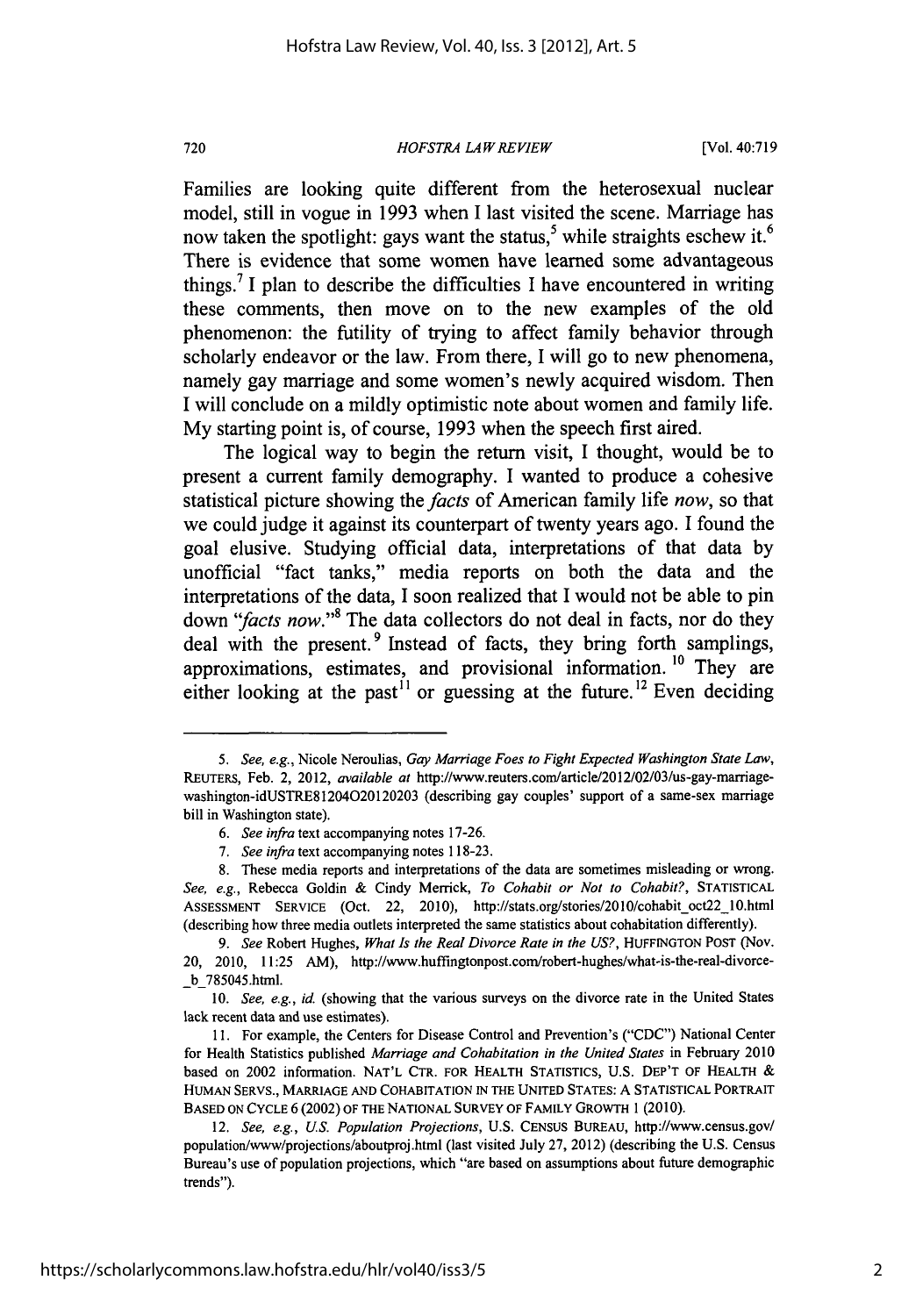# *HOFSTRA LAW REVIEW*

720

Families are looking quite different from the heterosexual nuclear model, still in vogue in 1993 when I last visited the scene. Marriage has now taken the spotlight: gays want the status,<sup>5</sup> while straights eschew it.<sup>6</sup> There is evidence that some women have learned some advantageous things. <sup>7</sup>**1** plan to describe the difficulties I have encountered in writing these comments, then move on to the new examples of the old phenomenon: the futility of trying to affect family behavior through scholarly endeavor or the law. From there, I will go to new phenomena, namely gay marriage and some women's newly acquired wisdom. Then I will conclude on a mildly optimistic note about women and family life. My starting point is, of course, 1993 when the speech first aired.

The logical way to begin the return visit, I thought, would be to present a current family demography. I wanted to produce a cohesive statistical picture showing the *facts* of American family life *now,* so that we could judge it against its counterpart of twenty years ago. I found the goal elusive. Studying official data, interpretations of that data by unofficial "fact tanks," media reports on both the data and the interpretations of the data, I soon realized that I would not be able to pin down *"facts now."<sup>8</sup>*The data collectors do not deal in facts, nor do they deal with the present.<sup>9</sup> Instead of facts, they bring forth samplings, approximations, estimates, and provisional information. 10 They are either looking at the past<sup>11</sup> or guessing at the future.<sup>12</sup> Even deciding

<sup>5.</sup> See, e.g., Nicole Neroulias, *Gay Marriage Foes to Fight Expected Washington State Law,* REUTERS, Feb. 2, 2012, available at http://www.reuters.com/article/2012/02/O3/us-gay-marriagewashington-idUSTRE81204020120203 (describing gay couples' support of a same-sex marriage bill in Washington state).

*<sup>6.</sup> See infra* text accompanying notes 17-26.

*<sup>7.</sup> See infra* text accompanying notes 118-23.

<sup>8.</sup> These media reports and interpretations of the data are sometimes misleading or wrong. *See, e.g.,* Rebecca Goldin & Cindy Merrick, *To Cohabit or Not to Cohabit?,* STATISTICAL ASSESSMENT SERVICE (Oct. 22, 2010), http://stats.org/stories/2010/cohabit\_oct22\_10.html (describing how three media outlets interpreted the same statistics about cohabitation differently).

*<sup>9.</sup> See* Robert Hughes, *What Is the Real Divorce Rate in the US?,* HUFFINGTON POST (Nov. 20, 2010, 11:25 AM), http://www.huffingtonpost.com/robert-hughes/what-is-the-real-divorce- \_b\_785045.html.

<sup>10.</sup> *See, e.g.,* id. (showing that the various surveys on the divorce rate in the United States lack recent data and use estimates).

<sup>11.</sup> For example, the Centers for Disease Control and Prevention's ("CDC") National Center for Health Statistics published *Marriage and Cohabitation in the United States* in February 2010 based on 2002 information. NAT'L CTR. FOR HEALTH STATISTICS, U.S. DEP'T OF HEALTH & HUMAN SERVS., MARRIAGE AND COHABITATION IN THE UNITED STATES: A STATISTICAL PORTRAIT BASED ON CYCLE 6 (2002) OF THE NATIONAL SURVEY OF FAMILY GROWTH 1 (2010).

<sup>12.</sup> *See, e.g., US. Population Projections,* U.S. CENSUS BUREAU, http://www.census.gov/ population/www/projections/aboutproj.html (last visited July 27, 2012) (describing the U.S. Census Bureau's use of population projections, which "are based on assumptions about future demographic trends").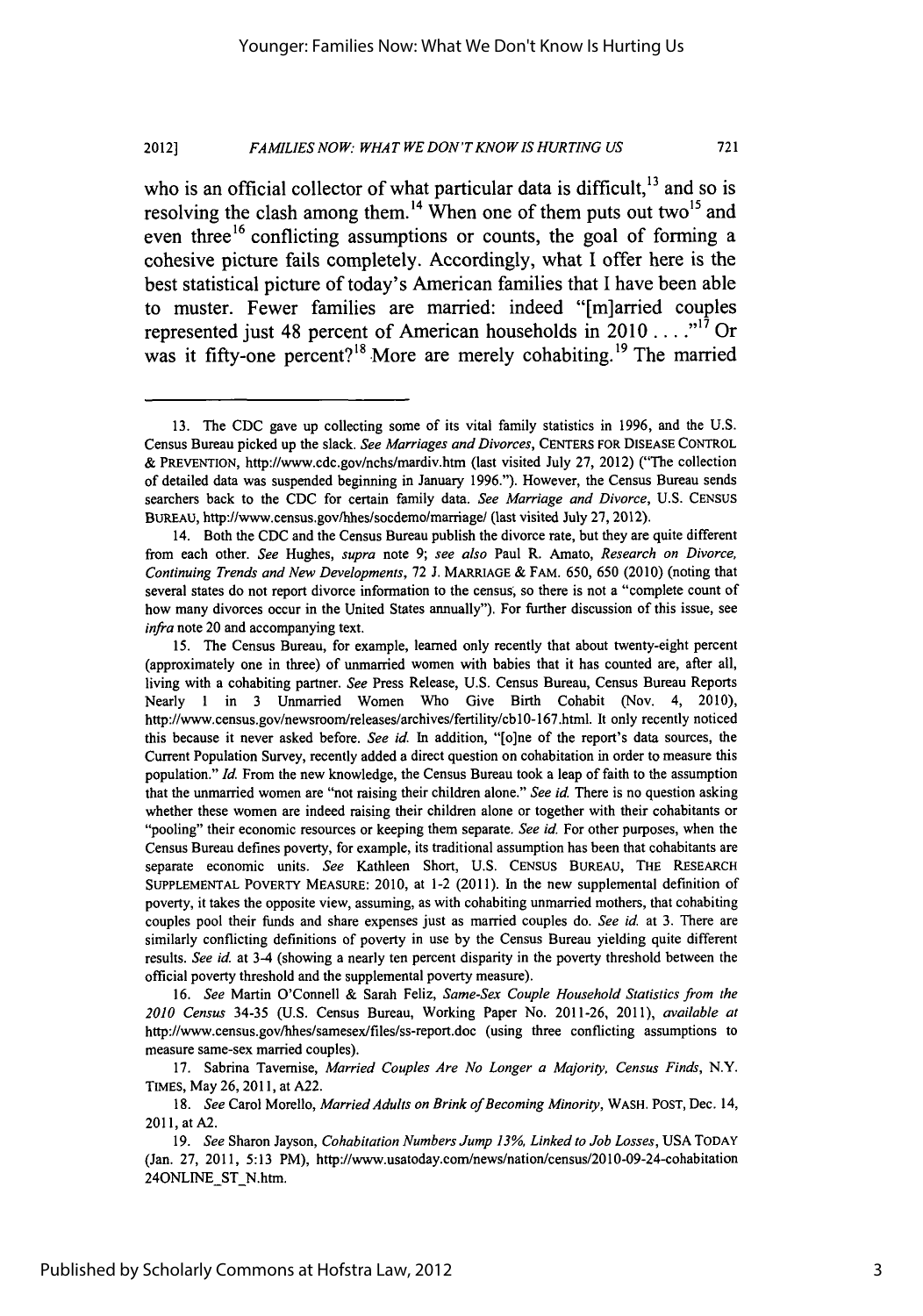#### *FAMILIES NOW: WHAT WE DON'T KNOW IS HURTING US* 721 **2012]**

who is an official collector of what particular data is difficult.<sup>13</sup> and so is resolving the clash among them.<sup>14</sup> When one of them puts out two<sup>15</sup> and even three  $16$  conflicting assumptions or counts, the goal of forming a cohesive picture fails completely. Accordingly, what **I** offer here is the best statistical picture of today's American families that **I** have been able to muster. Fewer families are married: indeed "[m]arried couples represented just 48 percent of American households in 2010  $\dots$ <sup>17</sup> Or was it fifty-one percent?<sup>18</sup> More are merely cohabiting.<sup>19</sup> The married

16. See Martin O'Connell & Sarah Feliz, *Same-Sex Couple Household Statistics from the* 2010 Census 34-35 (U.S. Census Bureau, Working Paper No. 2011-26, 2011), available *at* http://www.census.gov/hhes/samesex/files/ss-report.doc (using three conflicting assumptions to measure same-sex married couples).

17. Sabrina Tavernise, Married Couples Are No Longer a Majority, Census Finds, N.Y. TIMES, May 26, 2011, at A22.

*18.* See Carol Morello, Married Adults on Brink of Becoming Minority, WASH. POST, Dec. 14, 2011, at A2.

*19.* See Sharon Jayson, Cohabitation Numbers Jump *13%,* Linked to Job Losses, USA TODAY (Jan. 27, 2011, 5:13 PM), http://www.usatoday.com/news/nation/census/2010-09-24-cohabitation 24ONLINE\_ST\_N.htm.

<sup>13.</sup> The CDC gave up collecting some of its vital family statistics in 1996, and the U.S. Census Bureau picked up the slack. *See Marriages and Divorces,* CENTERS FOR **DISEASE** CONTROL **&** PREVENTION, http://www.cdc.gov/nchs/mardiv.htm (last visited July 27, 2012) ("The collection of detailed data was suspended beginning in January 1996."). However, the Census Bureau sends searchers back to the CDC for certain family data. *See Marriage and Divorce,* U.S. CENSUS BUREAU, http://www.census.gov/hhes/socdemo/marriage/ (last visited July 27, 2012).

<sup>14.</sup> Both the CDC and the Census Bureau publish the divorce rate, but they are quite different from each other. *See* Hughes, *supra* note 9; *see also* Paul R. Amato, *Research on Divorce,* Continuing Trends and *New Developments,* 72 J. MARRIAGE & FAM. 650, 650 (2010) (noting that several states do not report divorce information to the census, so there is not a "complete count of how many divorces occur in the United States annually"). For further discussion of this issue, see *infra* note 20 and accompanying text.

<sup>15.</sup> The Census Bureau, for example, learned only recently that about twenty-eight percent (approximately one in three) of unmarried women with babies that it has counted are, after all, living with a cohabiting partner. *See* Press Release, U.S. Census Bureau, Census Bureau Reports Nearly 1 in 3 Unmarried Women Who Give Birth Cohabit (Nov. 4, 2010), http://www.census.gov/newsroom/releases/archives/fertility/cblO-167.html. It only recently noticed this because it never asked before. *See id.* In addition, "[o]ne of the report's data sources, the Current Population Survey, recently added a direct question on cohabitation in order to measure this population." *Id.* From the new knowledge, the Census Bureau took a leap of faith to the assumption that the unmarried women are "not raising their children alone." *See id* There is no question asking whether these women are indeed raising their children alone or together with their cohabitants or "pooling" their economic resources or keeping them separate. *See id.* For other purposes, when the Census Bureau defines poverty, for example, its traditional assumption has been that cohabitants are separate economic units. See Kathleen Short, U.S. CENSUS BUREAU, THE RESEARCH SUPPLEMENTAL POVERTY MEASURE: 2010, at 1-2 (2011). In the new supplemental definition of poverty, it takes the opposite view, assuming, as with cohabiting unmarried mothers, that cohabiting couples pool their funds and share expenses just as married couples do. See id. at 3. There are similarly conflicting definitions of poverty in use by the Census Bureau yielding quite different results. *See id.* at 3-4 (showing a nearly ten percent disparity in the poverty threshold between the official poverty threshold and the supplemental poverty measure).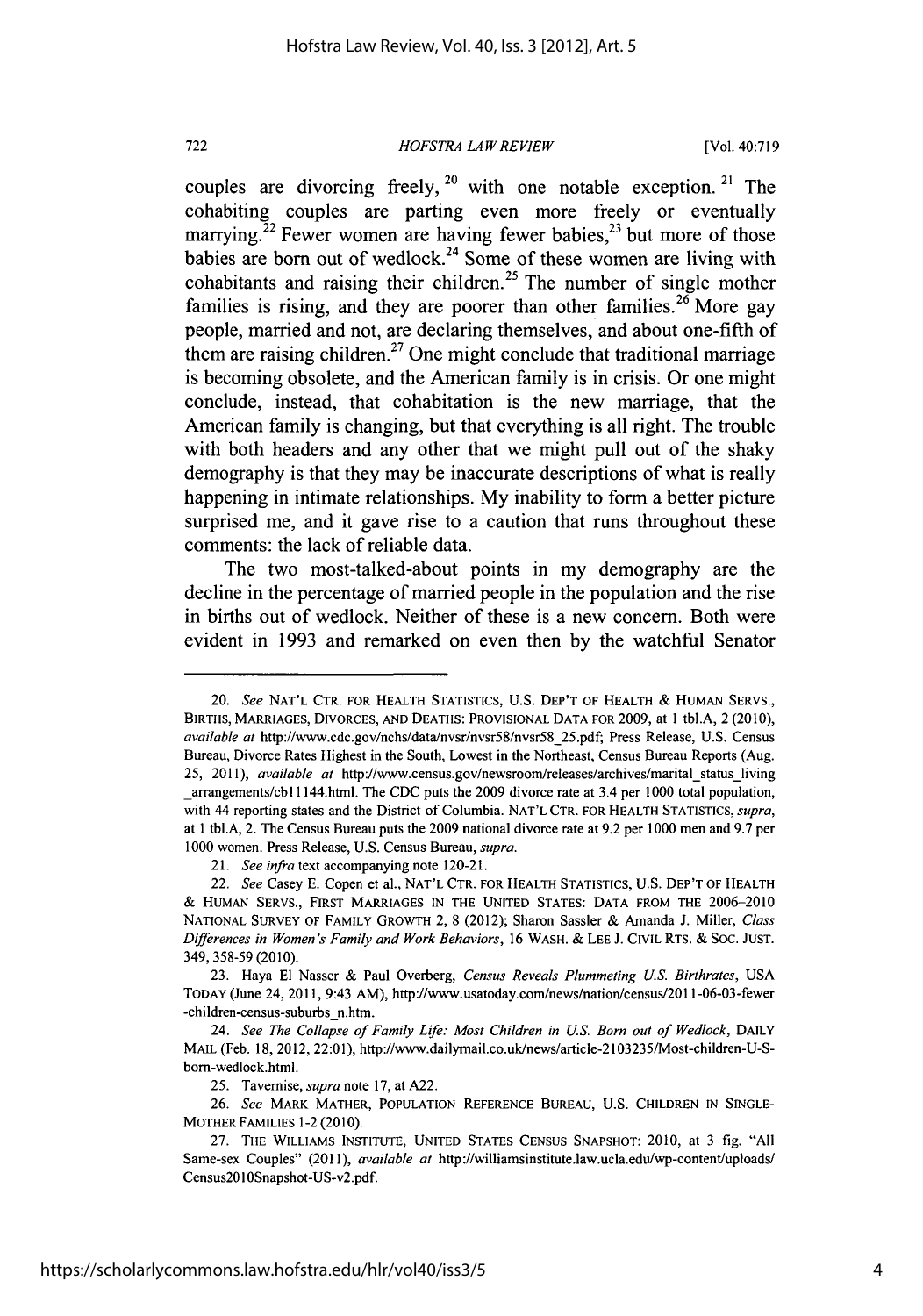*HOFSTRA LAWREVIEW*

**[Vol. 40:719**

couples are divorcing freely, **20** with one notable exception. **21** The cohabiting couples are parting even more freely or eventually marrying.<sup>22</sup> Fewer women are having fewer babies,<sup>23</sup> but more of those babies are born out of wedlock.<sup>24</sup> Some of these women are living with cohabitants and raising their children.<sup>25</sup> The number of single mother families is rising, and they are poorer than other families.<sup>26</sup> More gav people, married and not, are declaring themselves, and about one-fifth of them are raising children.<sup>27</sup> One might conclude that traditional marriage is becoming obsolete, and the American family is in crisis. Or one might conclude, instead, that cohabitation is the new marriage, that the American family is changing, but that everything is all right. The trouble with both headers and any other that we might pull out of the shaky demography is that they may be inaccurate descriptions of what is really happening in intimate relationships. **My** inability to form a better picture surprised me, and it gave rise to a caution that runs throughout these comments: the lack of reliable data.

The two most-talked-about points in my demography are the decline in the percentage of married people in the population and the rise in births out of wedlock. Neither of these is a new concern. Both were evident in **1993** and remarked on even then **by** the watchful Senator

**21.** *See* infra text accompanying note 120-21.

<sup>20.</sup> *See* **NAT'L** CTR. FOR HEALTH **STATISTICS, U.S. DEP'T** OF HEALTH **&** HUMAN SERVS., BIRTHS, MARRIAGES, DIVORCES, **AND DEATHS:** PROVISIONAL **DATA** FOR **2009,** at **1** tbl.A, 2 **(2010),** available at http://www.cdc.gov/nchs/data/nvsr/nvsr58/nvsr58\_25.pdf; Press Release, **U.S.** Census Bureau, Divorce Rates Highest in the South, Lowest in the Northeast, Census Bureau Reports (Aug. 25, 2011), available at http://www.census.gov/newsroom/releases/archives/marital\_status\_living \_arrangements/cbl 1 144.html. The **CDC** puts the **2009** divorce rate at 3.4 per **1000** total population, with 44 reporting states and the District of Columbia. **NAT'L** CTR. FOR HEALTH **STATISTICS,** supra, **at** l tbl.A, 2. The Census Bureau puts the **2009** national divorce rate at **9.2** per **1000** men and **9.7** per **1000** women. Press Release, **U.S.** Census Bureau, *supra.*

<sup>22.</sup> *See* Casey **E.** Copen **et** al., **NAT'L** CTR. FOR HEALTH **STATISTICS, U.S.** DEP'T OF HEALTH **& HUMAN** SERVS., FIRST MARRIAGES **IN THE UNITED STATES: DATA** FROM **THE 2006-2010 NATIONAL** SURVEY OF FAMILY GROWTH 2, **8** (2012); Sharon Sassier **&** Amanda **J.** Miller, *Class Differences in Women's Family and Work Behaviors,* **16** WASH. **& LEE J.** CIVIL RTS. **& SOC. JUST.** 349, **358-59** (2010).

**<sup>23.</sup>** Haya **El** Nasser **&** Paul Overberg, *Census Reveals Plummeting U.S. Birthrates,* **USA** TODAY (June 24, 2011, 9:43 AM), http://www.usatoday.com/news/nation/census2011-06-03-fewer -children-census-suburbs n.htm.

<sup>24.</sup> *See The Collapse of Family* **Life:** *Most Children in U.S. Born out of Wedlock,* DAILY **MAIL** (Feb. **18,** 2012, 22:01), http://www.dailymail.co.uk/news/article-2103235/Most-children-U-Sbom-wedlock.html.

**<sup>25.</sup>** Tavemise, *supra* note **17,** at **A22.**

**<sup>26.</sup>** *See* MARK MATHER, **POPULATION REFERENCE BUREAU, U.S. CHILDREN IN SINGLE-**MOTHER FAMILIES **1-2 (2010).**

**<sup>27.</sup>** THE WILLIAMS **INSTITUTE, UNITED STATES CENSUS SNAPSHOT:** 2010, at **3 fig. "All** Same-sex Couples" **(2011),** *available at* http://williamsinstitute.law.ucla.edu/wp-content/uploads/ Census2010Snapshot-US-v2.pdf.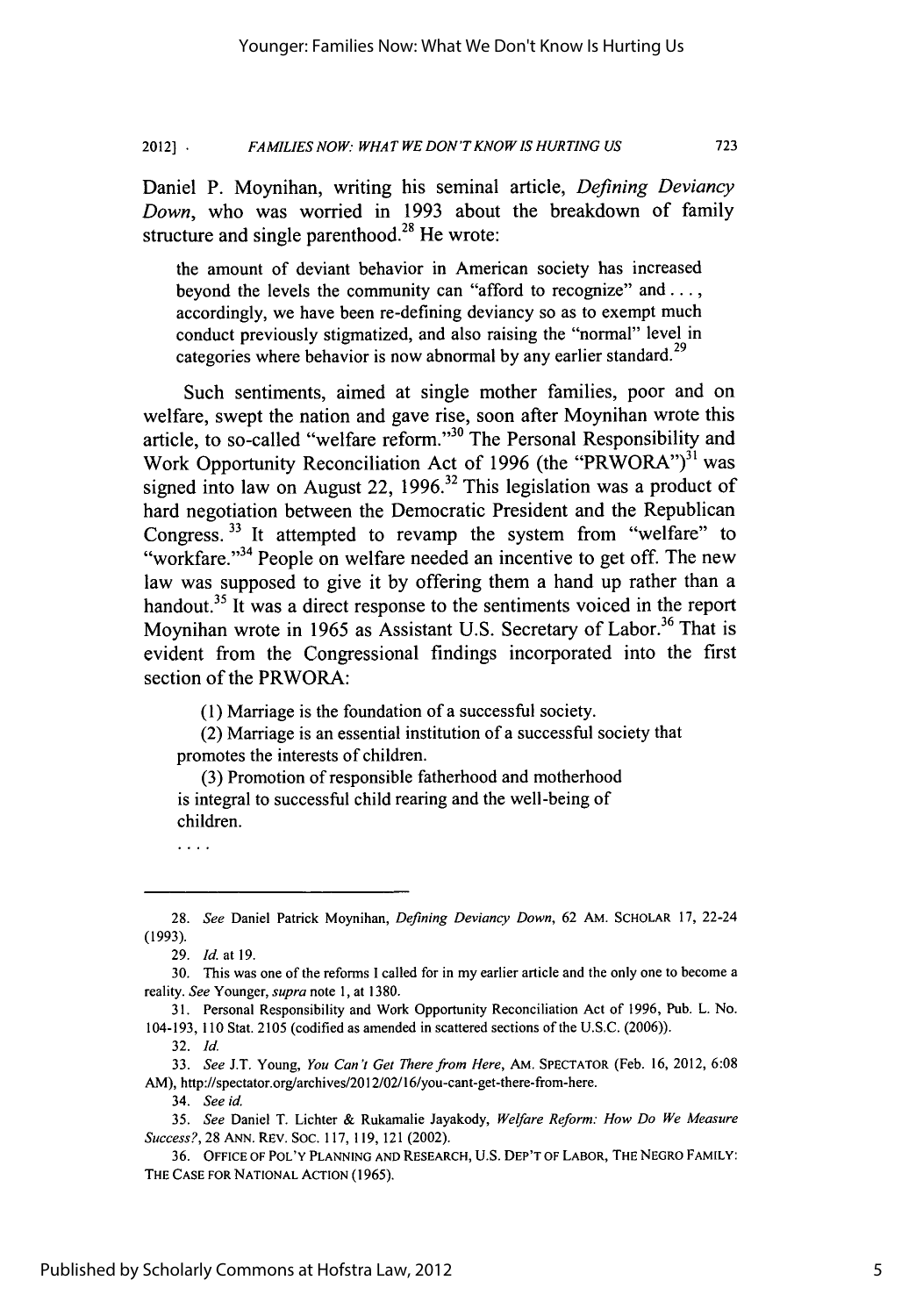**FAMILIES NOW: WHAT WE DON'T KNOW IS HURTING US 2012]** •

Daniel P. Moynihan, writing his seminal article, *Defining Deviancy Down,* who was worried in 1993 about the breakdown of family structure and single parenthood.<sup>28</sup> He wrote:

the amount of deviant behavior in American society has increased beyond the levels the community can "afford to recognize" and  $\dots$ , accordingly, we have been re-defining deviancy so as to exempt much conduct previously stigmatized, and also raising the "normal" level in categories where behavior is now abnormal by any earlier standard.<sup>29</sup>

Such sentiments, aimed at single mother families, poor and on welfare, swept the nation and gave rise, soon after Moynihan wrote this article, to so-called "welfare reform."<sup>30</sup> The Personal Responsibility and Work Opportunity Reconciliation Act of 1996 (the "PRWORA")<sup>31</sup> was signed into law on August 22, 1996.<sup>32</sup> This legislation was a product of hard negotiation between the Democratic President and the Republican Congress.<sup>33</sup> It attempted to revamp the system from "welfare" to "workfare."<sup>34</sup> People on welfare needed an incentive to get off. The new law was supposed to give it by offering them a hand up rather than a handout.<sup>35</sup> It was a direct response to the sentiments voiced in the report Moynihan wrote in 1965 as Assistant U.S. Secretary of Labor.<sup>36</sup> That is evident from the Congressional findings incorporated into the first section of the PRWORA:

(1) Marriage is the foundation of a successful society.

(2) Marriage is an essential institution of a successful society that promotes the interests of children.

(3) Promotion of responsible fatherhood and motherhood is integral to successful child rearing and the well-being of children.

. . . .

32. *Id.*

<sup>28.</sup> *See* Daniel Patrick Moynihan, *Defining Deviancy Down,* 62 AM. SCHOLAR 17, 22-24 (1993).

<sup>29.</sup> *Id.* at 19.

<sup>30.</sup> This was one of the reforms I called for in my earlier article and the only one to become a reality. *See* Younger, *supra* note 1, at 1380.

<sup>31.</sup> Personal Responsibility and Work Opportunity Reconciliation Act of 1996, Pub. L. No. 104-193, 110 Stat. 2105 (codified as amended in scattered sections of the U.S.C. (2006)).

<sup>33.</sup> *See* J.T. Young, *You* Can't *Get* Therefrom Here, AM. SPECTATOR (Feb. 16, 2012, 6:08 AM), http://spectator.org/archives/2012/02/16/you-cant-get-there-from-here.

<sup>34.</sup> See *id.*

<sup>35.</sup> See Daniel T. Lichter & Rukamalie Jayakody, *Welfare Reform: How Do We Measure* Success?, 28 ANN. REV. SOC. 117, 119, 121 (2002).

<sup>36.</sup> OFFICE OF POL'Y **PLANNING AND** RESEARCH, **U.S.** DEP'T OF LABOR, THE NEGRO FAMILY: THE **CASE** FOR **NATIONAL ACTION** (1965).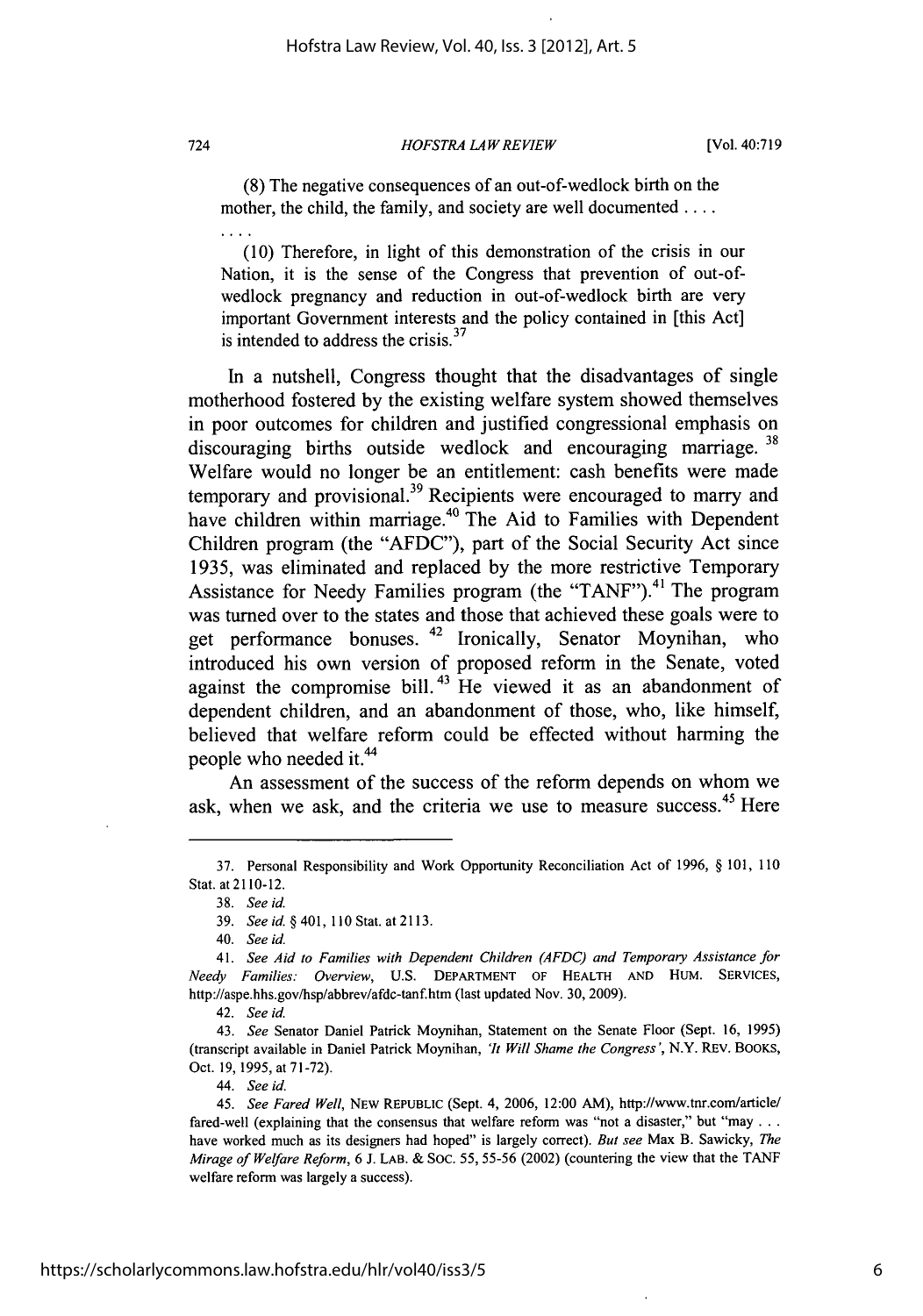### *HOFSTRA LAW REVIEW*

(8) The negative consequences of an out-of-wedlock birth on the mother, the child, the family, and society are well documented ....

(10) Therefore, in light of this demonstration of the crisis in our Nation, it is the sense of the Congress that prevention of out-ofwedlock pregnancy and reduction in out-of-wedlock birth are very important Government interests and the policy contained in [this Act] is intended to address the crisis.<sup>37</sup>

In a nutshell, Congress thought that the disadvantages of single motherhood fostered by the existing welfare system showed themselves in poor outcomes for children and justified congressional emphasis on **<sup>38</sup>** discouraging births outside wedlock and encouraging marriage. Welfare would no longer be an entitlement: cash benefits were made temporary and provisional.<sup>39</sup> Recipients were encouraged to marry and have children within marriage.<sup>40</sup> The Aid to Families with Dependent Children program (the "AFDC"), part of the Social Security Act since 1935, was eliminated and replaced by the more restrictive Temporary Assistance for Needy Families program (the "TANF").<sup>41</sup> The program was turned over to the states and those that achieved these goals were to get performance bonuses. 42 Ironically, Senator Moynihan, who introduced his own version of proposed reform in the Senate, voted against the compromise bill.<sup>43</sup> He viewed it as an abandonment of dependent children, and an abandonment of those, who, like himself, believed that welfare reform could be effected without harming the people who needed it.<sup>44</sup>

An assessment of the success of the reform depends on whom we ask, when we ask, and the criteria we use to measure success.<sup>45</sup> Here

724

<sup>37.</sup> Personal Responsibility and Work Opportunity Reconciliation Act of 1996, § 101, 110 Stat. at 2110-12.

<sup>38.</sup> *See id.*

<sup>39.</sup> *See id. §* 401, 110 Stat. at 2113.

<sup>40.</sup> *See id.*

<sup>41.</sup> *See Aid to Families with Dependent Children (AFDC) and Temporary Assistance for Needy Families: Overview,* U.S. DEPARTMENT OF HEALTH AND HUM. SERVICES, http://aspe.hhs.gov/hsp/abbrev/afdc-tanf.htm (last updated Nov. 30, 2009).

<sup>42.</sup> *See id.*

<sup>43.</sup> *See* Senator Daniel Patrick Moynihan, Statement on the Senate Floor (Sept. 16, 1995) (transcript available in Daniel Patrick Moynihan, *'It Will Shame the Congress',* N.Y. REV. BOOKS, Oct. 19, 1995, at 71-72).

<sup>44.</sup> *See id.*

*<sup>45.</sup> See Fared Well,* NEW REPUBLIC (Sept. 4, 2006, 12:00 AM), http://www.tnr.com/article/ fared-well (explaining that the consensus that welfare reform was "not a disaster," but "may **...** have worked much as its designers had hoped" is largely correct). *But see* Max B. Sawicky, *The Mirage of Welfare Reform,* 6 J. LAB. & SOC. 55, 55-56 (2002) (countering the view that the TANF welfare reform was largely a success).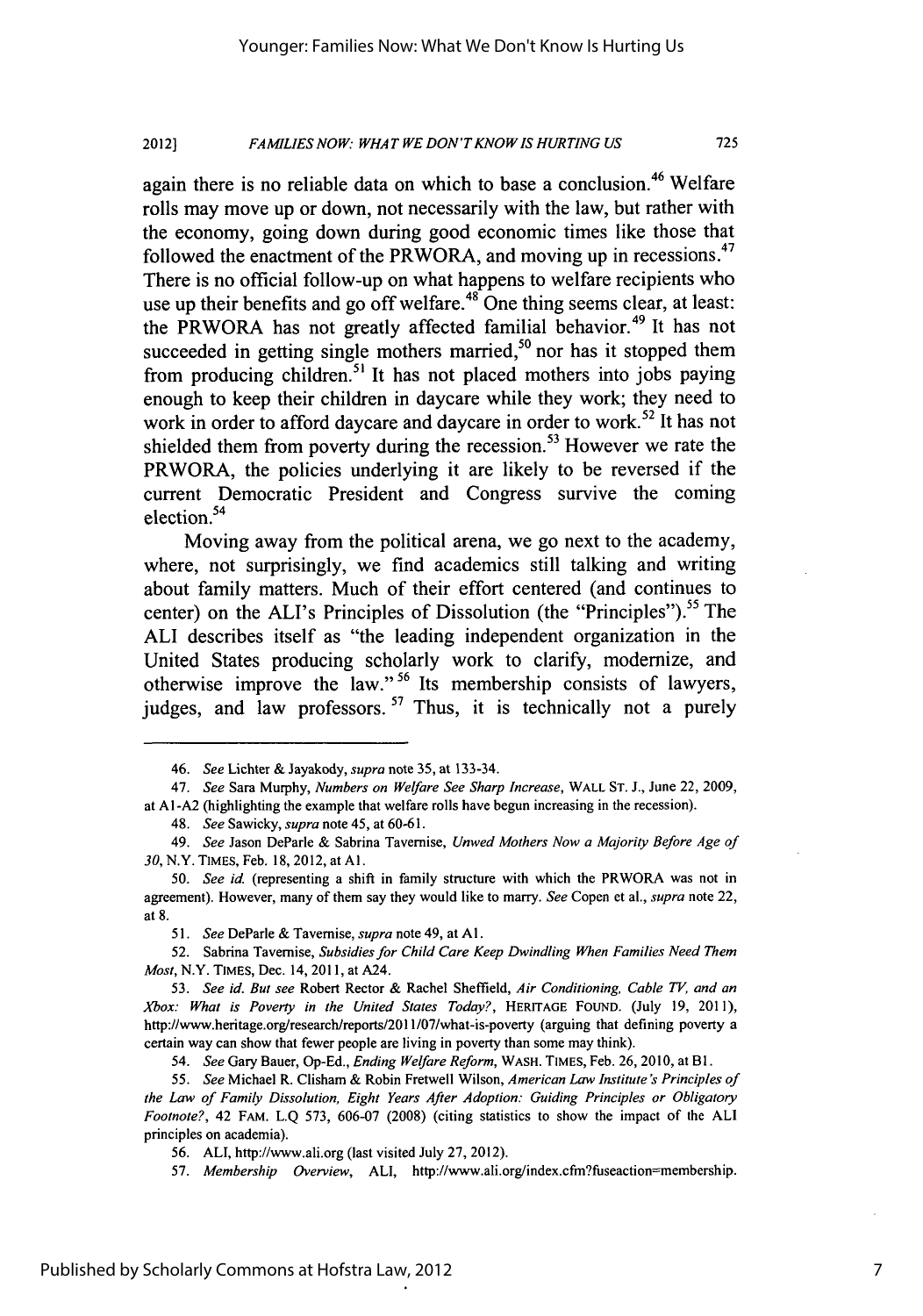#### *FAMILIES NOW: WHAT WE DON'TKNOWIS HURTING US* 2012]

again there is no reliable data on which to base a conclusion.<sup>46</sup> Welfare rolls may move up or down, not necessarily with the law, but rather with the economy, going down during good economic times like those that followed the enactment of the PRWORA, and moving up in recessions.<sup>47</sup> There is no official follow-up on what happens to welfare recipients who use up their benefits and go off welfare.<sup>48</sup> One thing seems clear, at least: the PRWORA has not greatly affected familial behavior.<sup>49</sup> It has not succeeded in getting single mothers married,<sup>50</sup> nor has it stopped them from producing children.<sup>51</sup> It has not placed mothers into jobs paying enough to keep their children in daycare while they work; they need to work in order to afford daycare and daycare in order to work.<sup>52</sup> It has not shielded them from poverty during the recession.<sup>53</sup> However we rate the PRWORA, the policies underlying it are likely to be reversed if the current Democratic President and Congress survive the coming election.<sup>54</sup>

Moving away from the political arena, we go next to the academy, where, not surprisingly, we find academics still talking and writing about family matters. Much of their effort centered (and continues to center) on the ALI's Principles of Dissolution (the "Principles").<sup>55</sup> The **ALI** describes itself as "the leading independent organization in the United States producing scholarly work to clarify, modernize, and otherwise improve the law." **56** Its membership consists of lawyers, judges, and law professors.<sup>57</sup> Thus, it is technically not a purely

<sup>46.</sup> *See* Lichter & Jayakody, *supra* note 35, at 133-34.

<sup>47.</sup> *See* Sara Murphy, *Numbers on Welfare See Sharp Increase,* WALL **ST.** J., June 22, 2009, at AI-A2 (highlighting the example that welfare rolls have begun increasing in the recession).

<sup>48.</sup> *See* Sawicky, *supra* note 45, at 60-61.

<sup>49.</sup> *See* Jason DeParle & Sabrina Tavernise, *Unwed Mothers Now a Majority Before Age of 30,* N.Y. TIMES, Feb. 18, 2012, at **Al.**

<sup>50.</sup> *See* id. (representing a shift in family structure with which the PRWORA was not in agreement). However, many of them say they would like to marry. *See* Copen et al., *supra* note 22, at 8.

<sup>51.</sup> *See* DeParle & Tavemise, *supra* note 49, at **Al.**

<sup>52.</sup> Sabrina Tavemise, *Subsidies for Child Care Keep Dwindling When Families Need Them Most,* N.Y. TIMES, Dec. 14, 2011, at A24.

*<sup>53.</sup> See id. But see* Robert Rector & Rachel Sheffield, *Air Conditioning, Cable TV, and an Xbox: What is Poverty in the United States Today?,* HERITAGE FOUND. (July 19, 2011), http://www.heritage.org/research/reports/2011/07/what-is-poverty (arguing that defining poverty a certain way can show that fewer people are living in poverty than some may think).

*<sup>54.</sup> See* Gary Bauer, Op-Ed., *Ending Welfare Reform,* WASH. TIMES, Feb. 26, 2010, at BI.

*<sup>55.</sup> See* Michael R. Clisham & Robin Fretwell Wilson, *American Law Institute's Principles of the Law of Family Dissolution, Eight Years After Adoption: Guiding Principles or Obligatory Footnote?,* 42 FAM. L.Q 573, 606-07 (2008) (citing statistics to show the impact of the ALl principles on academia).

<sup>56.</sup> ALI, http://www.ali.org (last visited July 27, 2012).

<sup>57.</sup> *Membership Overview,* ALI, http://www.ali.org/index.cfm?fuseaction=membership.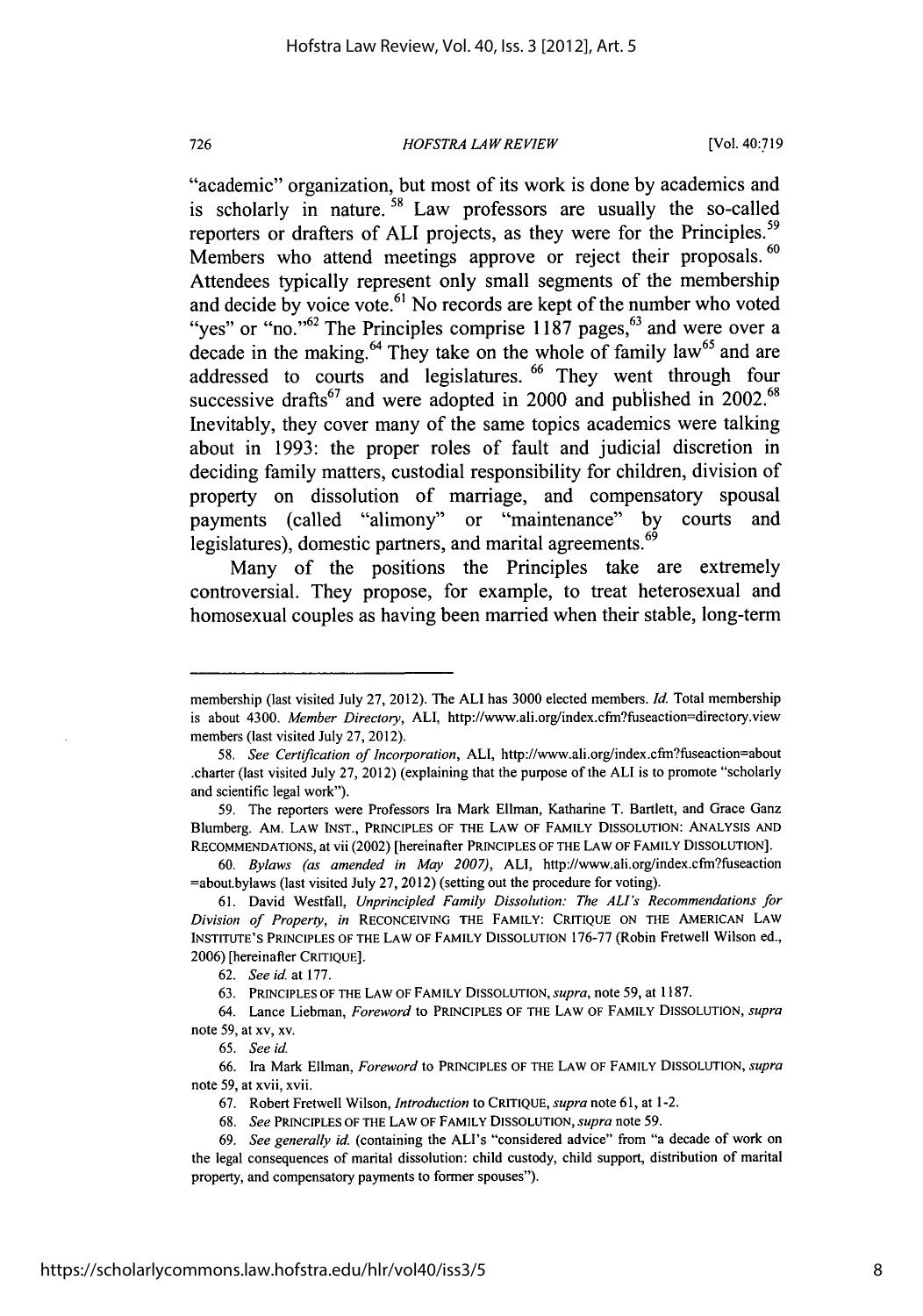### *HOFSTRA LAWREVIEW*

"academic" organization, but most of its work is done **by** academics and is scholarly in nature. **58** Law professors are usually the so-called reporters or drafters of ALI projects, as they were for the Principles.<sup>59</sup> Members who attend meetings approve or reject their proposals. **60** Attendees typically represent only small segments of the membership and decide **by** voice **vote. <sup>6</sup> '** No records are kept of the number who voted "ves" or "no."<sup>62</sup> The Principles comprise 1187 pages,<sup>63</sup> and were over a decade in the making.<sup>64</sup> They take on the whole of family law<sup>65</sup> and are addressed to courts and legislatures. **66** They went through four successive drafts<sup>67</sup> and were adopted in 2000 and published in 2002.<sup>68</sup> Inevitably, they cover many of the same topics academics were talking about in **1993:** the proper roles of fault and judicial discretion in deciding family matters, custodial responsibility for children, division of property on dissolution of marriage, and compensatory spousal payments (called "alimony" or "maintenance" **by** courts and **<sup>69</sup>** legislatures), domestic partners, and marital agreements.

Many of the positions the Principles take are extremely controversial. They propose, for example, to treat heterosexual and homosexual couples as having been married when their stable, long-term

60. *Bylaws (as amended in May 2007),* ALl, http://www.ali.org/index.cfnfuseaction =about.bylaws (last visited July 27, 2012) (setting out the procedure for voting).

membership (last visited July 27, 2012). The ALl has 3000 elected members. *Id.* Total membership is about 4300. *Member Directory,* ALl, http://www.ali.org/index.cfm?fuseaction=directory.view members (last visited July 27, 2012).

*<sup>58.</sup> See Certification of Incorporation,* ALl, http://www.ali.org/index.cftn?fuseaction=about .charter (last visited July 27, 2012) (explaining that the purpose of the ALl is to promote "scholarly and scientific legal work").

<sup>59.</sup> The reporters were Professors Ira Mark Ellman, Katharine T. Bartlett, and Grace Ganz Blumberg. AM. LAW INST., PRINCIPLES OF THE LAW OF FAMILY DISSOLUTION: ANALYSIS AND RECOMMENDATIONS, at vii (2002) [hereinafter PRINCIPLES OF THE LAW OF FAMILY DISSOLUTION].

<sup>61.</sup> David Westfall, *Unprincipled* Family Dissolution: The *ALIs* Recommendations for *Division of Property, in* RECONCEIVING THE FAMILY: CRITIQUE ON THE AMERICAN LAW INSTITUTE'S PRINCIPLES OF THE LAW OF FAMILY DISSOLUTION 176-77 (Robin Fretwell Wilson ed., 2006) [hereinafter CRITIQUE].

<sup>62.</sup> *See id* at 177.

<sup>63.</sup> PRINCIPLES OF THE LAW OF FAMILY DISSOLUTION, *supra,* note 59, at 1187.

<sup>64.</sup> Lance Liebman, *Foreword* to PRINCIPLES OF THE LAW OF FAMILY DISSOLUTION, *supra* note 59, at xv, xv.

<sup>65.</sup> *See id.*

<sup>66.</sup> Ira Mark Ellman, *Foreword* to PRINCIPLES OF THE LAW OF FAMILY DISSOLUTION, *supra* note 59, at xvii, xvii.

<sup>67.</sup> Robert Fretwell Wilson, Introduction to CRITIQUE, *supra* note 61, at 1-2.

<sup>68.</sup> See PRINCIPLES OF THE LAW OF FAMILY DISSOLUTION, *supra* note **59.**

<sup>69.</sup> See generally id. (containing the ALI's "considered advice" from "a decade of work on the legal consequences of marital dissolution: child custody, child support, distribution of marital property, and compensatory payments to former spouses").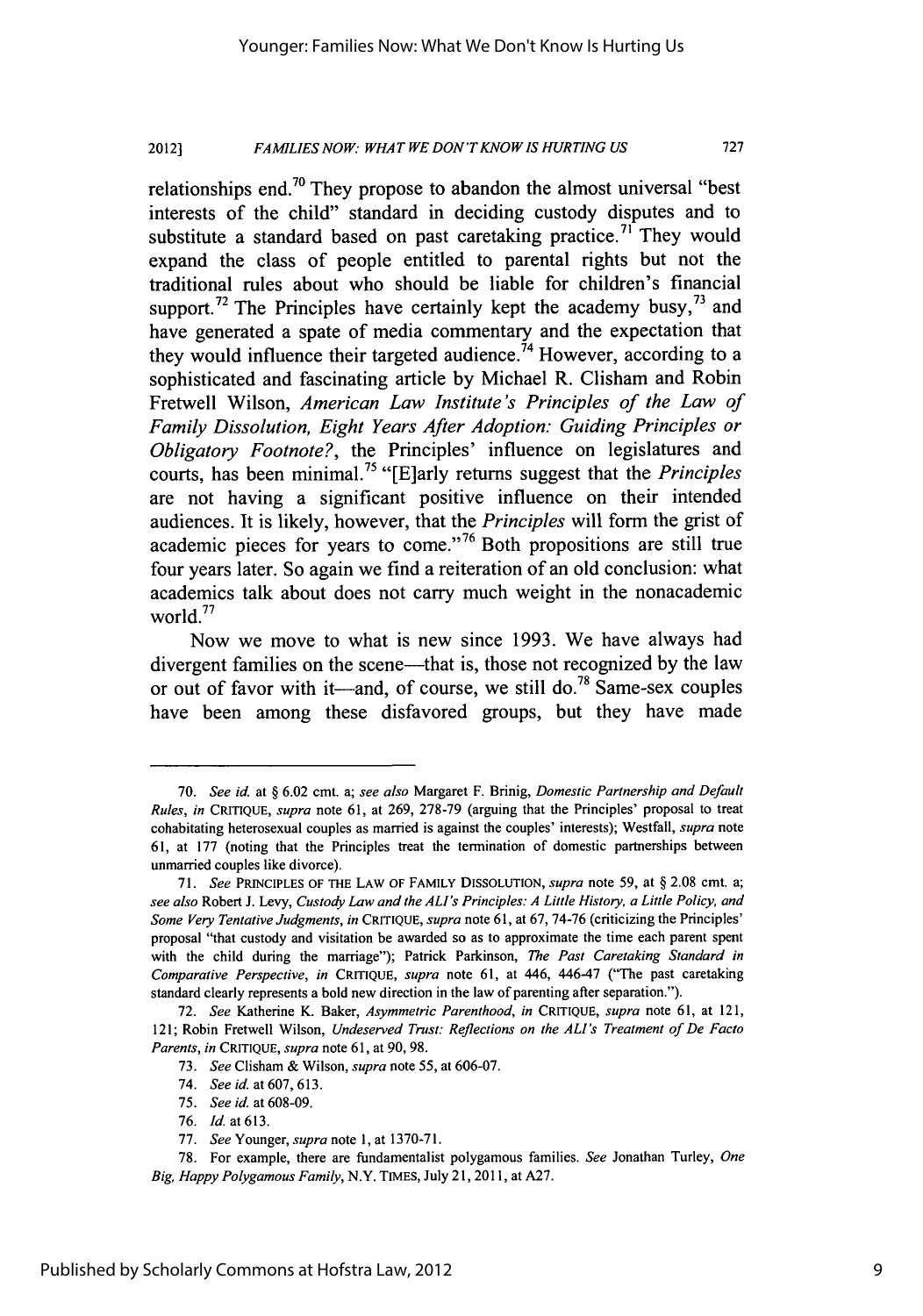#### **FAMILIES NOW: WHAT WE DON'T KNOW IS HURTING US 2012]**

relationships end.<sup>70</sup> They propose to abandon the almost universal "best" interests of the child" standard in deciding custody disputes and to substitute a standard based on past caretaking practice.<sup>71</sup> They would expand the class of people entitled to parental rights but not the traditional rules about who should be liable for children's financial support.<sup>72</sup> The Principles have certainly kept the academy busy,<sup>73</sup> and have generated a spate of media commentary and the expectation that they would influence their targeted audience.<sup>74</sup> However, according to a sophisticated and fascinating article by Michael R. Clisham and Robin Fretwell Wilson, *American Law Institute's Principles of the Law of Family Dissolution, Eight Years After Adoption: Guiding Principles or Obligatory Footnote?,* the Principles' influence on legislatures and courts, has been minimal.75 "[E]arly returns suggest that the *Principles* are not having a significant positive influence on their intended audiences. It is likely, however, that the *Principles* will form the grist of academic pieces for years to come."76 Both propositions are still true four years later. So again we find a reiteration of an old conclusion: what academics talk about does not carry much weight in the nonacademic world.<sup>77</sup>

Now we move to what is new since 1993. We have always had divergent families on the scene—that is, those not recognized by the law or out of favor with it-and, of course, we still **do. <sup>78</sup>**Same-sex couples have been among these disfavored groups, but they have made

<sup>70.</sup> *See id.* at § 6.02 cmt. a; *see also* Margaret F. Brinig, *Domestic Partnership and Default Rules, in* CRITIQUE, *supra* note 61, at 269, 278-79 (arguing that the Principles' proposal to treat cohabitating heterosexual couples as married is against the couples' interests); Westfall, *supra* note 61, at 177 (noting that the Principles treat the termination of domestic partnerships between unmarried couples like divorce).

<sup>71.</sup> *See* PRINCIPLES OF THE LAW OF FAMILY **DISSOLUTION,** *supra* note 59, at § 2.08 cmt. a; *see also* Robert J. Levy, *Custody Law and the ALI's Principles: A Little History, a Little Policy, and Some Very Tentative Judgments, in* CRITIQUE, *supra* note 61, at 67, 74-76 (criticizing the Principles' proposal "that custody and visitation be awarded so as to approximate the time each parent spent with the child during the marriage"); Patrick Parkinson, *The Past Caretaking Standard in Comparative Perspective, in* **CRITIQUE,** *supra* note 61, at 446, 446-47 ("The past caretaking standard clearly represents a bold new direction in the law of parenting after separation.").

<sup>72.</sup> *See* Katherine K. Baker, *Asymmetric Parenthood, in* **CRITIQUE,** *supra* note 61, at 121, 121; Robin Fretwell Wilson, *Undeserved Trust: Reflections on the ALI's Treatment of De Facto Parents, in* CRITIQUE, *supra* note 61, at 90, 98.

<sup>73.</sup> *See* Clisham & Wilson, *supra* note 55, at 606-07.

<sup>74.</sup> *See* id. at 607, 613.

<sup>75.</sup> *See* id. at 608-09.

<sup>76.</sup> *Id.* at613.

<sup>77.</sup> *See* Younger, *supra* note 1, at 1370-71.

<sup>78.</sup> For example, there are fundamentalist polygamous families. *See* Jonathan Turley, *One Big, Happy Polygamous Family,* N.Y. TIMES, July 21, 2011, at A27.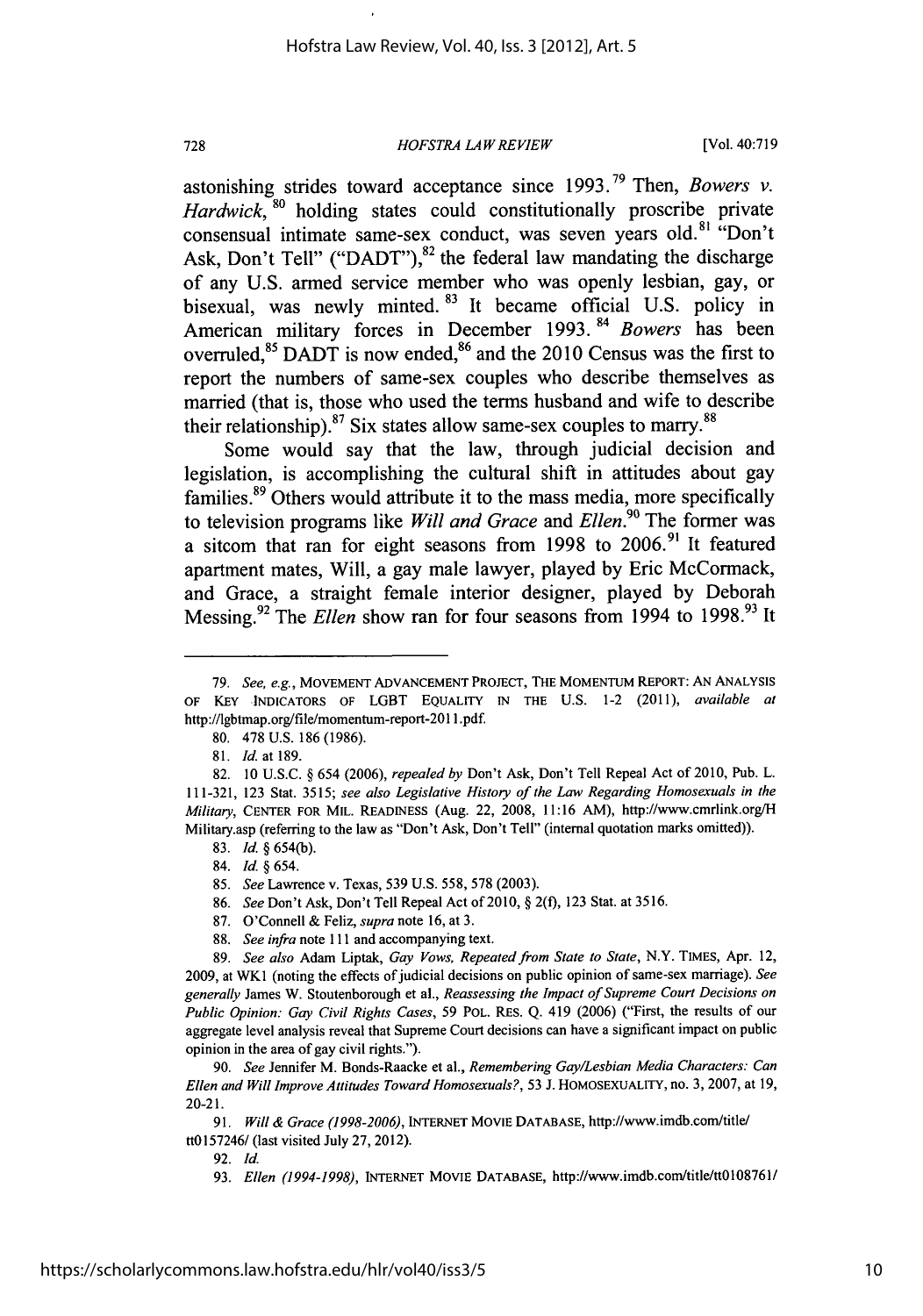## *HOFSTRA LAW REVIEW*

astonishing strides toward acceptance since **1993. <sup>79</sup>**Then, *Bowers v. Hardwick, '0* holding states could constitutionally proscribe private consensual intimate same-sex conduct, was seven years old.<sup>81</sup> "Don't Ask, Don't Tell" ("DADT"), $82$  the federal law mandating the discharge of any U.S. armed service member who was openly lesbian, gay, or bisexual, was newly minted. <sup>83</sup> It became official U.S. policy in American military forces in December 1993. <sup>84</sup> Bowers has been overruled,<sup>85</sup> DADT is now ended,  $86$  and the 2010 Census was the first to report the numbers of same-sex couples who describe themselves as married (that is, those who used the terms husband and wife to describe their relationship). $87$  Six states allow same-sex couples to marry. $88$ 

Some would say that the law, through judicial decision and legislation, is accomplishing the cultural shift in attitudes about gay families.<sup>89</sup> Others would attribute it to the mass media, more specifically to television programs like *Will and Grace* and *Ellen*.<sup>90</sup> The former was a sitcom that ran for eight seasons from 1998 to 2006.<sup>91</sup> It featured apartment mates, Will, a gay male lawyer, played by Eric McCormack, and Grace, a straight female interior designer, played by Deborah Messing.<sup>92</sup> The *Ellen* show ran for four seasons from 1994 to 1998.<sup>93</sup> It

728

- 86. *See* Don't Ask, Don't Tell Repeal Act of 2010, § 2(f), 123 Stat. at 3516.
- 87. O'Connell & Feliz, *supra* note 16, at 3.
- 88. *See infra* note 111 and accompanying text.

89. *See also* Adam Liptak, *Gay Vows, Repeated from State to State,* N.Y. TIMES, Apr. 12, 2009, at WK1 (noting the effects ofjudicial decisions on public opinion of same-sex marriage). *See generally* James W. Stoutenborough et al., *Reassessing the Impact of Supreme Court Decisions on Public Opinion: Gay Civil Rights Cases,* 59 POL. REs. Q. 419 (2006) ("First, the results of our aggregate level analysis reveal that Supreme Court decisions can have a significant impact on public opinion in the area of gay civil rights.").

92. Id.

<sup>79.</sup> See, e.g., MOVEMENT ADVANCEMENT PROJECT, THE MOMENTUM REPORT: AN ANALYSIS OF KEY INDICATORS OF LGBT EQUALITY IN THE U.S. 1-2 (2011), available at http://lgbtmap.org/file/momentum-report-201 I.pdf.

<sup>80. 478</sup> U.S. 186 (1986).

<sup>81.</sup> *Id.* at 189.

<sup>82.</sup> **10** U.S.C. § 654 (2006), *repealed by* Don't Ask, Don't Tell Repeal Act of 2010, Pub. L. 111-321, 123 Stat. 3515; *see also Legislative History of the Law Regarding Homosexuals in the Military,* CENTER FOR MIL. READINESS (Aug. 22, 2008, 11:16 AM), http://www.cmrlink.org/H Military.asp (referring to the law as "Don't Ask, Don't Tell" (internal quotation marks omitted)).

<sup>83.</sup> *Id.* § 654(b).

<sup>84.</sup> *Id. §* 654.

<sup>85.</sup> *See* Lawrence v. Texas, 539 U.S. 558, 578 (2003).

<sup>90.</sup> *See* Jennifer M. Bonds-Raacke et al., *Remembering Gay/Lesbian Media Characters: Can Ellen and Will Improve Attitudes Toward Homosexuals?,* 53 J. HOMOSEXUALITY, no. 3, 2007, at 19, 20-21.

<sup>91.</sup> *Will & Grace (1998-2006),* INTERNET MOVIE DATABASE, http://www.imdb.com/titlel tt0157246/ (last visited July 27, 2012).

<sup>93.</sup> *Ellen (1994-1998),* INTERNET MOVIE DATABASE, http://www.imdb.com/title/tt0l08761/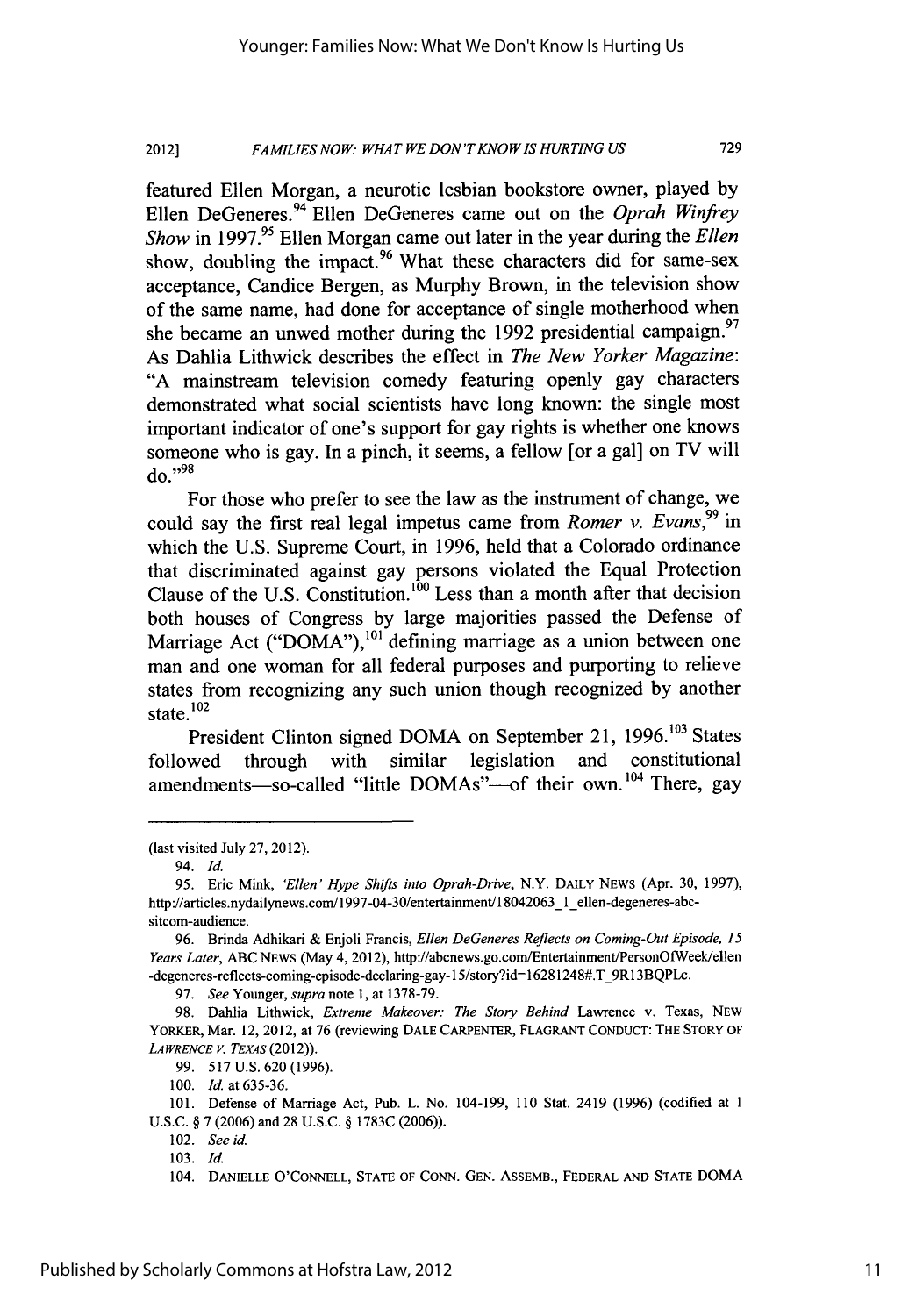#### *FAMILIES NOW. WHAT WE DON'TKNOWIS HURTING US* **2012]**

featured Ellen Morgan, a neurotic lesbian bookstore owner, played by Ellen DeGeneres. 94 Ellen DeGeneres came out on the *Oprah Winfrey Show* in 1997.<sup>95</sup> Ellen Morgan came out later in the year during the *Ellen* show, doubling the impact.<sup>96</sup> What these characters did for same-sex acceptance, Candice Bergen, as Murphy Brown, in the television show of the same name, had done for acceptance of single motherhood when she became an unwed mother during the 1992 presidential campaign.<sup>97</sup> As Dahlia Lithwick describes the effect in *The New Yorker Magazine:* "A mainstream television comedy featuring openly gay characters demonstrated what social scientists have long known: the single most important indicator of one's support for gay rights is whether one knows someone who is gay. In a pinch, it seems, a fellow [or a gal] on TV will do." <sup>98</sup>

For those who prefer to see the law as the instrument of change, we could say the first real legal impetus came from *Romer v. Evans,99* in which the U.S. Supreme Court, in 1996, held that a Colorado ordinance that discriminated against gay persons violated the Equal Protection Clause of the **U.S.** Constitution. **100** Less than a month after that decision both houses of Congress by large majorities passed the Defense of Marriage Act ("DOMA"),  $^{101}$  defining marriage as a union between one man and one woman for all federal purposes and purporting to relieve states from recognizing any such union though recognized by another state. $102$ 

President Clinton signed DOMA on September 21, 1996.<sup>103</sup> States followed through with similar legislation and constitutional amendments-so-called "little  $DOMAs$ "-of their own.<sup>104</sup> There, gay

97. *See* Younger, *supra* note 1, at 1378-79.

99. 517 U.S. 620 (1996).

100. *Id.* at 635-36.

102. *See* id.

103. *Id.*

<sup>(</sup>last visited July 27, 2012).

<sup>94.</sup> **Id.**

<sup>95.</sup> Eric Mink, *'Ellen' Hype* Shifts *into Oprah-Drive,* N.Y. DAILY NEWS (Apr. 30, 1997), http://articles.nydailynews.com/1997-04-30/entertainment/18042063\_1\_ellen-degeneres-abcsitcom-audience.

<sup>96.</sup> Brinda Adhikari & Enjoli Francis, *Ellen DeGeneres Reflects on Coming-Out Episode, 15 Years Later,* ABC NEWS (May 4, 2012), http://abcnews.go.com/Entertainment/PersonOfWeek/ellen -degeneres-reflects-coming-episode-declaring-gay-15/story?id=16281248#.T\_9R13BQPLc.

<sup>98.</sup> Dahlia Lithwick, *Extreme Makeover: The Story Behind* Lawrence v. Texas, NEW YORKER, Mar. 12, 2012, at 76 (reviewing DALE CARPENTER, FLAGRANT CONDUCT: THE STORY OF *LAWRENCE* **V.** *TEXAS* (2012)).

<sup>101.</sup> Defense of Marriage Act, Pub. L. No. 104-199, 110 Stat. 2419 (1996) (codified at 1 U.S.C. § 7 (2006) and 28 U.S.C. § 1783C (2006)).

<sup>104.</sup> **DANIELLE O'CONNELL, STATE** OF CONN. **GEN.** ASSEMB., FEDERAL **AND STATE** DOMA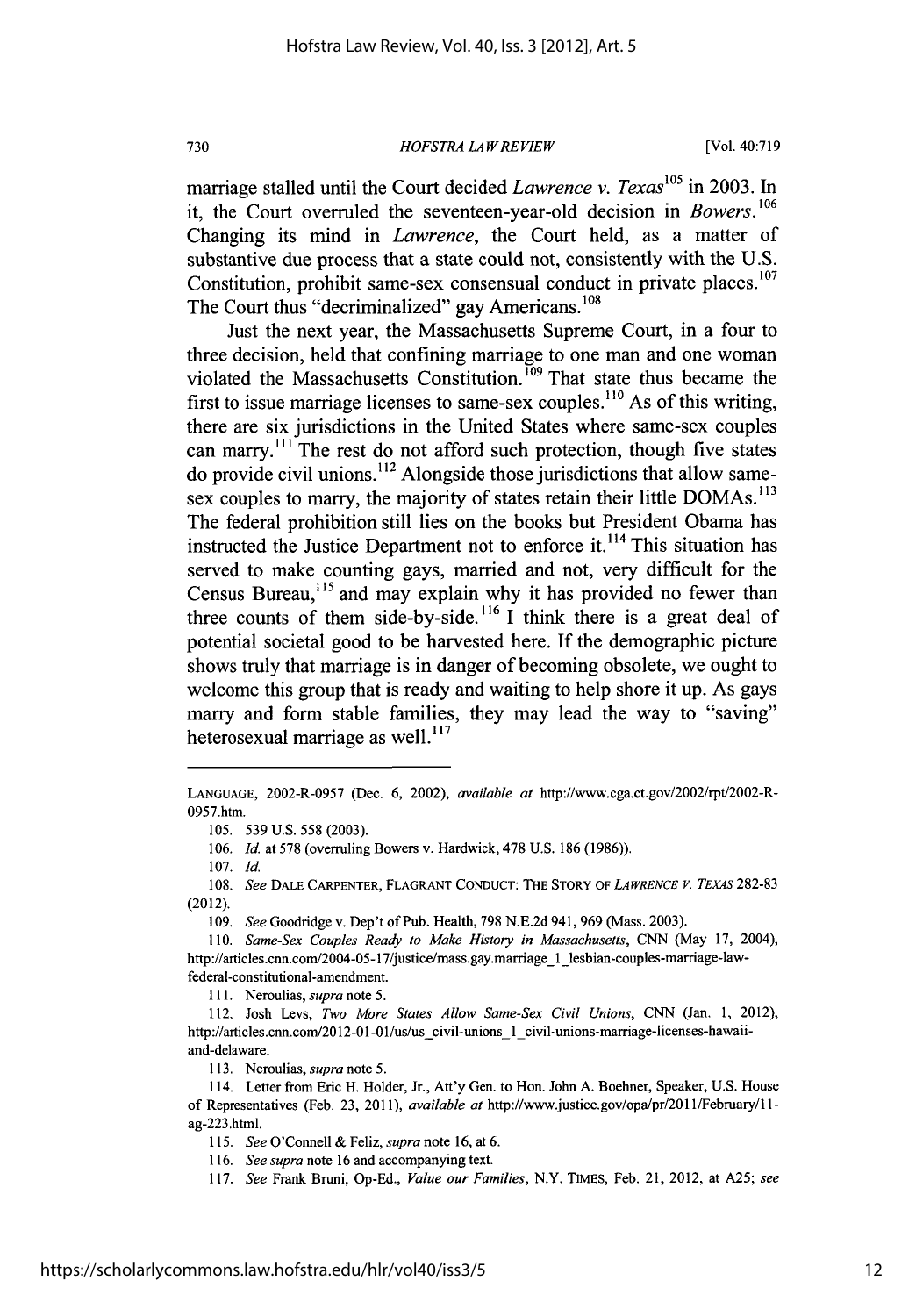*HOFSTRA LA W RE VIEW*

marriage stalled until the Court decided *Lawrence v. Texas*<sup>105</sup> in 2003. In it, the Court overruled the seventeen-year-old decision in *Bowers. <sup>106</sup>* Changing its mind in *Lawrence,* the Court held, as a matter of substantive due process that a state could not, consistently with the U.S. Constitution, prohibit same-sex consensual conduct in private places.<sup>107</sup> The Court thus "decriminalized" gay Americans.<sup>108</sup>

Just the next year, the Massachusetts Supreme Court, in a four to three decision, held that confining marriage to one man and one woman violated the Massachusetts Constitution.<sup>109</sup> That state thus became the first to issue marriage licenses to same-sex couples.<sup>110</sup> As of this writing, there are six jurisdictions in the United States where same-sex couples can marry.<sup>111</sup> The rest do not afford such protection, though five states do provide civil unions.<sup>112</sup> Alongside those jurisdictions that allow samesex couples to marry, the majority of states retain their little DOMAs. **' 13** The federal prohibition still lies on the books but President Obama has instructed the Justice Department not to enforce it.<sup>114</sup> This situation has served to make counting gays, married and not, very difficult for the Census Bureau, $115$  and may explain why it has provided no fewer than three counts of them side-by-side. 116 **1** think there is a great deal of potential societal good to be harvested here. If the demographic picture shows truly that marriage is in danger of becoming obsolete, we ought to welcome this group that is ready and waiting to help shore it up. As gays marry and form stable families, they may lead the way to "saving" heterosexual marriage as well. $^{117}$ 

111. Neroulias, *supra* note 5.

113. Neroulias, *supra* note 5.

730

LANGUAGE, 2002-R-0957 (Dec. 6, 2002), available at http://www.cga.ct.gov/2002/rpt/2002-R-0957.htm.

<sup>105. 539</sup> U.S. 558 (2003).

<sup>106.</sup> *Id.* at 578 (overruling Bowers v. Hardwick, 478 U.S. 186 (1986)).

<sup>108.</sup> *See* DALE CARPENTER, FLAGRANT CONDUCT: THE STORY OF *LAWRENCE V. TEXAS* 282-83 (2012).

<sup>109.</sup> *See* Goodridge v. Dep't of Pub. Health, 798 N.E.2d 941, 969 (Mass. 2003).

<sup>110.</sup> *Same-Sex Couples Ready to Make History in Massachusetts,* CNN (May 17, 2004), http://articles.cnn.com/2004-05-17/justice/mass.gay.marriage\_1\_lesbian-couples-marriage-lawfederal-constitutional-amendment.

<sup>112.</sup> Josh Levs, *Two More States Allow Same-Sex Civil Unions,* CNN (Jan. 1, 2012), http://articles.cnn.com/2012-01-01/us/us civil-unions 1 civil-unions-marriage-licenses-hawaiiand-delaware.

<sup>114.</sup> Letter from Eric H. Holder, Jr., Att'y Gen. to Hon. John A. Boehner, Speaker, U.S. House of Representatives (Feb. 23, 2011), *available at* http://www.justice.gov/opa/pr/2011/February/11 ag-223.html.

<sup>115.</sup> *See* O'Connell & Feliz, *supra* note 16, at 6.

<sup>116.</sup> *See supra* note 16 and accompanying text.

<sup>117.</sup> *See* Frank Bruni, Op-Ed., *Value our Families,* N.Y. TIMES, Feb. 21, 2012, at A25; *see*

<sup>107.</sup> Id.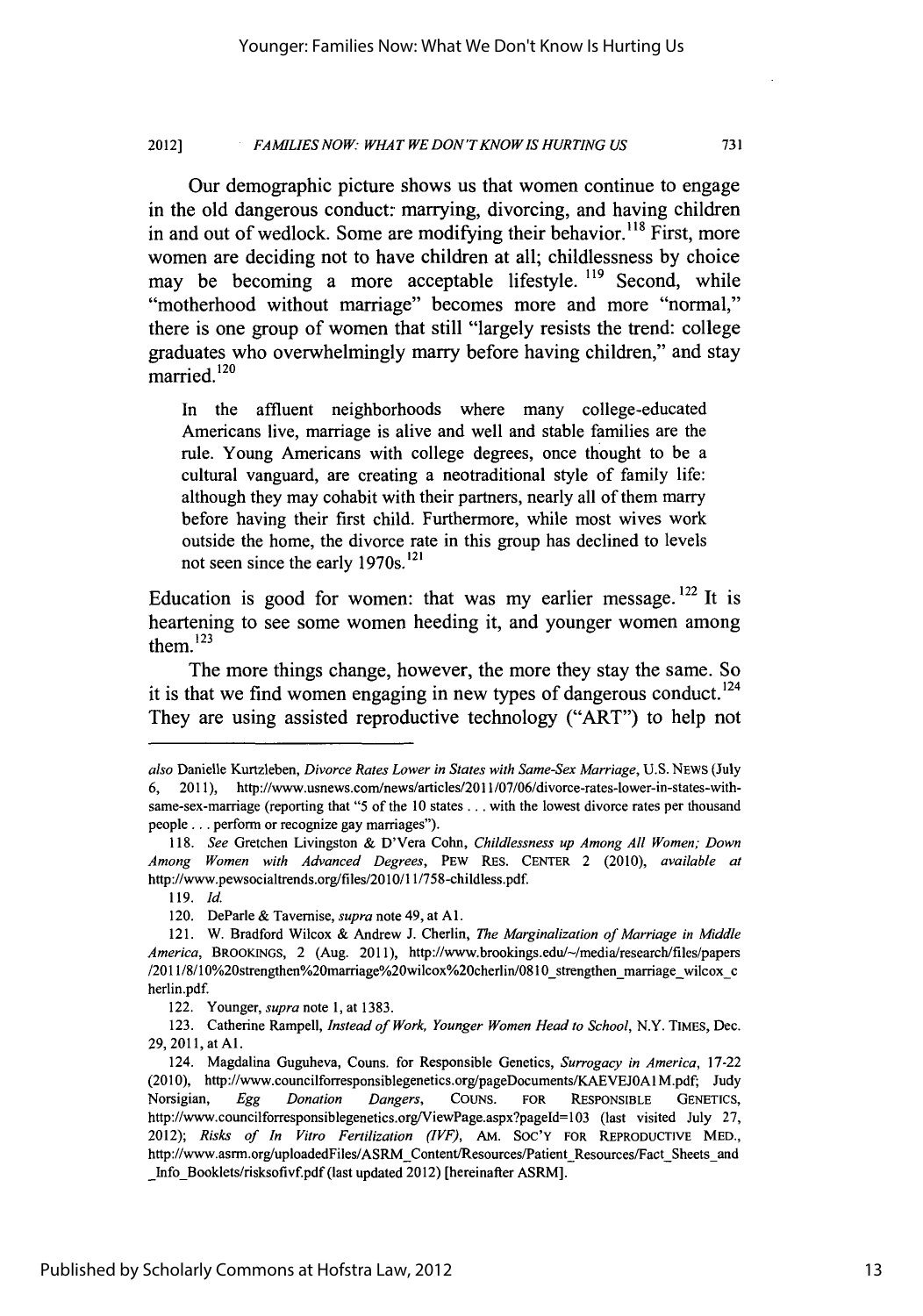#### **FAMILIES NOW: WHAT WE DON'T KNOW IS HURTING US** 2012]

Our demographic picture shows us that women continue to engage in the old dangerous conduct: marrying, divorcing, and having children in and out of wedlock. Some are modifying their behavior.<sup>118</sup> First, more women are deciding not to have children at all; childlessness **by** choice may be becoming a more acceptable lifestyle. **'19** Second, while "motherhood without marriage" becomes more and more "normal," there is one group of women that still "largely resists the trend: college graduates who overwhelmingly marry before having children," and stay married.<sup>120</sup>

In the affluent neighborhoods where many college-educated Americans live, marriage is alive and well and stable families are the rule. Young Americans with college degrees, once thought to be a cultural vanguard, are creating a neotraditional style of family life: although they may cohabit with their partners, nearly all of them marry before having their first child. Furthermore, while most wives work outside the home, the divorce rate in this group has declined to levels not seen since the early 1970s. **<sup>121</sup>**

Education is good for women: that was my earlier message. **122** It is heartening to see some women heeding it, and younger women among them. $^{123}$ 

The more things change, however, the more they stay the same. So it is that we find women engaging in new types of dangerous conduct.<sup>124</sup> They are using assisted reproductive technology ("ART") to help not

also Danielle Kurtzleben, *Divorce Rates Lower in States with Same-Sex Marriage,* U.S. NEWS (July 6, 2011), http://www.usnews.com/news/articles/2011/07/06/divorce-rates-lower-in-states-withsame-sex-marriage (reporting that "5 of the 10 states . . . with the lowest divorce rates per thousand people... perform or recognize gay marriages").

<sup>118.</sup> *See* Gretchen Livingston & D'Vera Cohn, *Childlessness up Among All Women; Down* Among Women *with Advanced Degrees,* PEW RES. **CENTER** 2 (2010), *available at* http://www.pewsocialtrends.org/files/2010/11/758-childless.pdf.

<sup>119.</sup> Id.

<sup>120.</sup> DeParle & Tavemise, *supra* note 49, at **Al.**

<sup>121.</sup> W. Bradford Wilcox & Andrew J. Cherlin, *The Marginalization of Marriage in Middle* America, BROOKINGS, 2 (Aug. 2011), http://www.brookings.edu/-/media/research/files/papers /2011/8/10%20strengthen%20marriage%20wilcox%20cherlin/0810\_strengthen\_marriage\_wilcox\_c herlin.pdf.

<sup>122.</sup> Younger, *supra note* **1,** at **1383.**

**<sup>123.</sup>** Catherine Rampell, *Instead of Work, Younger Women Head to School,* N.Y. TIMES, Dec. **29, 2011,** at **Al.**

<sup>124.</sup> Magdalina Guguheva, Couns. for Responsible Genetics, *Surrogacy in America,* 17-22 (2010), http://www.councilforresponsiblegenetics.org/pageDocuments/KAEVEJOAIM.pdf; Judy Norsigian, *Egg Donation Dangers,* COUNS. FOR RESPONSIBLE **GENETICS,** http://www.councilforresponsiblegenetics.org/ViewPage.aspx?pageld=103 (last visited July 27, 2012); *Risks of In Vitro Fertilization (IVF),* AM. **SOC'Y** FOR REPRODUCTIVE MED., http://www.asrm.org/uploadedFiles/ASRM-Content/Resources/Patient-Resources/Fact-Sheets-and Info Booklets/risksofivf.pdf (last updated 2012) [hereinafter ASRM].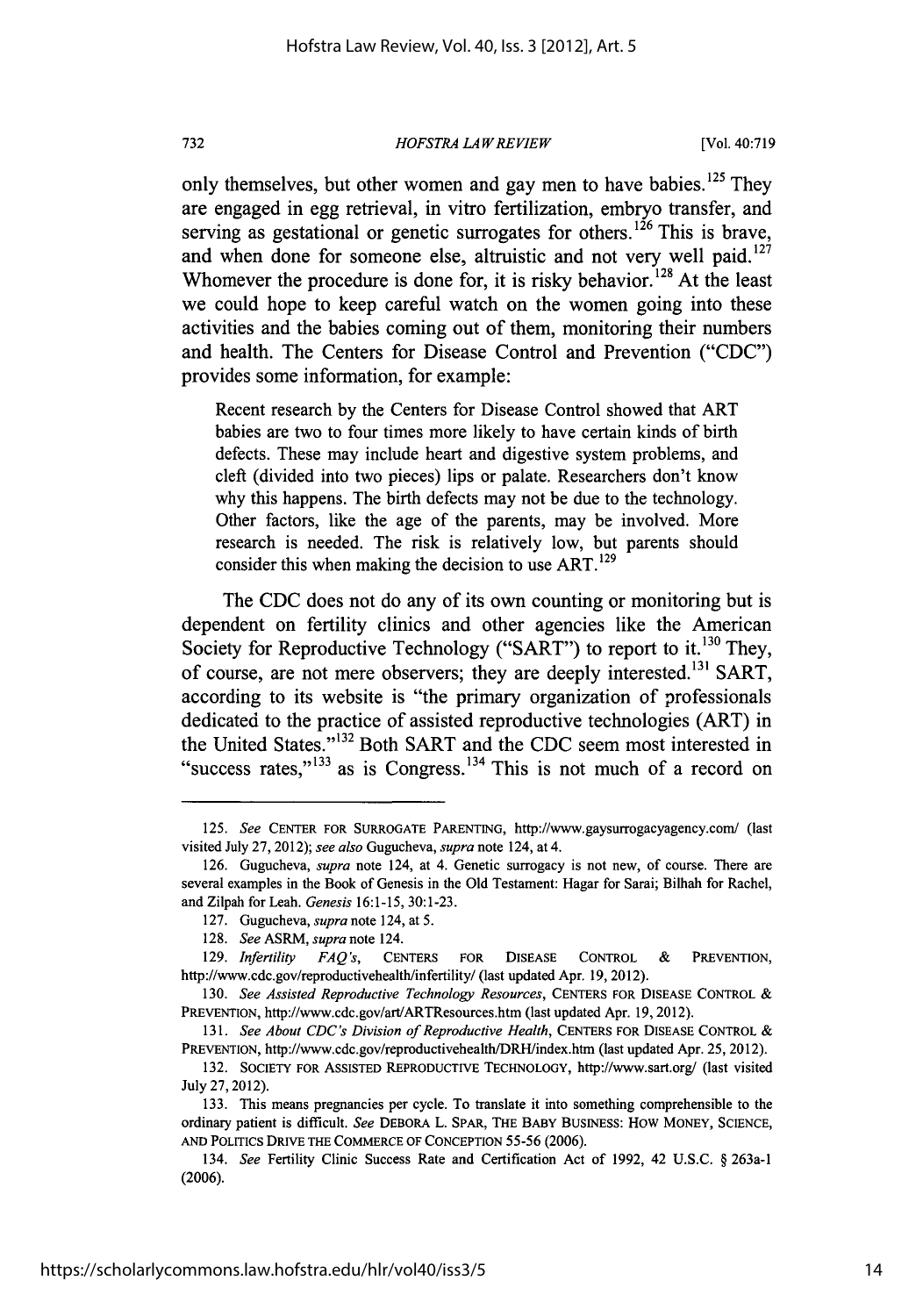## *HOFSTRA LA W REVIEW*

only themselves, but other women and gay men to have babies.<sup>125</sup> Thev are engaged in egg retrieval, in vitro fertilization, embryo transfer, and serving as gestational or genetic surrogates for others.<sup>126</sup> This is brave, and when done for someone else, altruistic and not very well paid. $127$ Whomever the procedure is done for, it is risky behavior.<sup>128</sup> At the least we could hope to keep careful watch on the women going into these activities and the babies coming out of them, monitoring their numbers and health. The Centers for Disease Control and Prevention ("CDC") provides some information, for example:

Recent research by the Centers for Disease Control showed that ART babies are two to four times more likely to have certain kinds of birth defects. These may include heart and digestive system problems, and cleft (divided into two pieces) lips or palate. Researchers don't know why this happens. The birth defects may not be due to the technology. Other factors, like the age of the parents, may be involved. More research is needed. The risk is relatively low, but parents should consider this when making the decision to use ART.<sup>129</sup>

The CDC does not do any of its own counting or monitoring but is dependent on fertility clinics and other agencies like the American Society for Reproductive Technology ("SART") to report to it.<sup>130</sup> They, of course, are not mere observers; they are deeply interested.<sup>131</sup> SART, according to its website is "the primary organization of professionals dedicated to the practice of assisted reproductive technologies (ART) in the United States."<sup>132</sup> Both SART and the CDC seem most interested in "success rates," $133$  as is Congress.<sup>134</sup> This is not much of a record on

732

<sup>125.</sup> *See* CENTER FOR SURROGATE PARENTING, http://www.gaysurrogacyagency.com/ (last visited July 27, 2012); *see also* Gugucheva, *supra* note 124, at 4.

<sup>126.</sup> Gugucheva, *supra* note 124, at 4. Genetic surrogacy is not new, of course. There are several examples in the Book of Genesis in the Old Testament: Hagar for Sarai; Bilhah for Rachel, and Zilpah for Leah. *Genesis* 16:1-15, 30:1-23.

<sup>127.</sup> Gugucheva, *supra* note 124, at 5.

<sup>128.</sup> *See* ASRM, *supra* note 124.

<sup>129.</sup> *Infertility FAQ's,* CENTERS FOR DISEASE CONTROL **&** PREVENTION, http://www.cdc.gov/reproductivehealth/infertility/ (last updated Apr. 19, 2012).

<sup>130.</sup> *See Assisted Reproductive Technology Resources,* CENTERS FOR DISEASE CONTROL & PREVENTION, http://www.cdc.gov/art/ARTResources.htm (last updated Apr. 19, 2012).

<sup>131.</sup> *See About CDC's Division of Reproductive Health,* CENTERS FOR DISEASE CONTROL & PREVENTION, http://www.cdc.gov/reproductivehealth/DRH/index.htm (last updated Apr. 25, 2012).

<sup>132.</sup> **SOCIETY** FOR ASSISTED REPRODUCTIVE TECHNOLOGY, http://www.sart.org/ (last visited July **27,** 2012).

**<sup>133.</sup>** This means pregnancies per cycle. To translate it into something comprehensible to the ordinary patient is difficult. *See* DEBORA L. SPAR, THE BABY **BUSINESS:** How MONEY, SCIENCE, **AND** POLITICS DRIVE THE COMMERCE OF **CONCEPTION 55-56 (2006).**

<sup>134.</sup> *See* Fertility Clinic Success Rate and Certification Act of **1992,** 42 **U.S.C.** § 263a-1 (2006).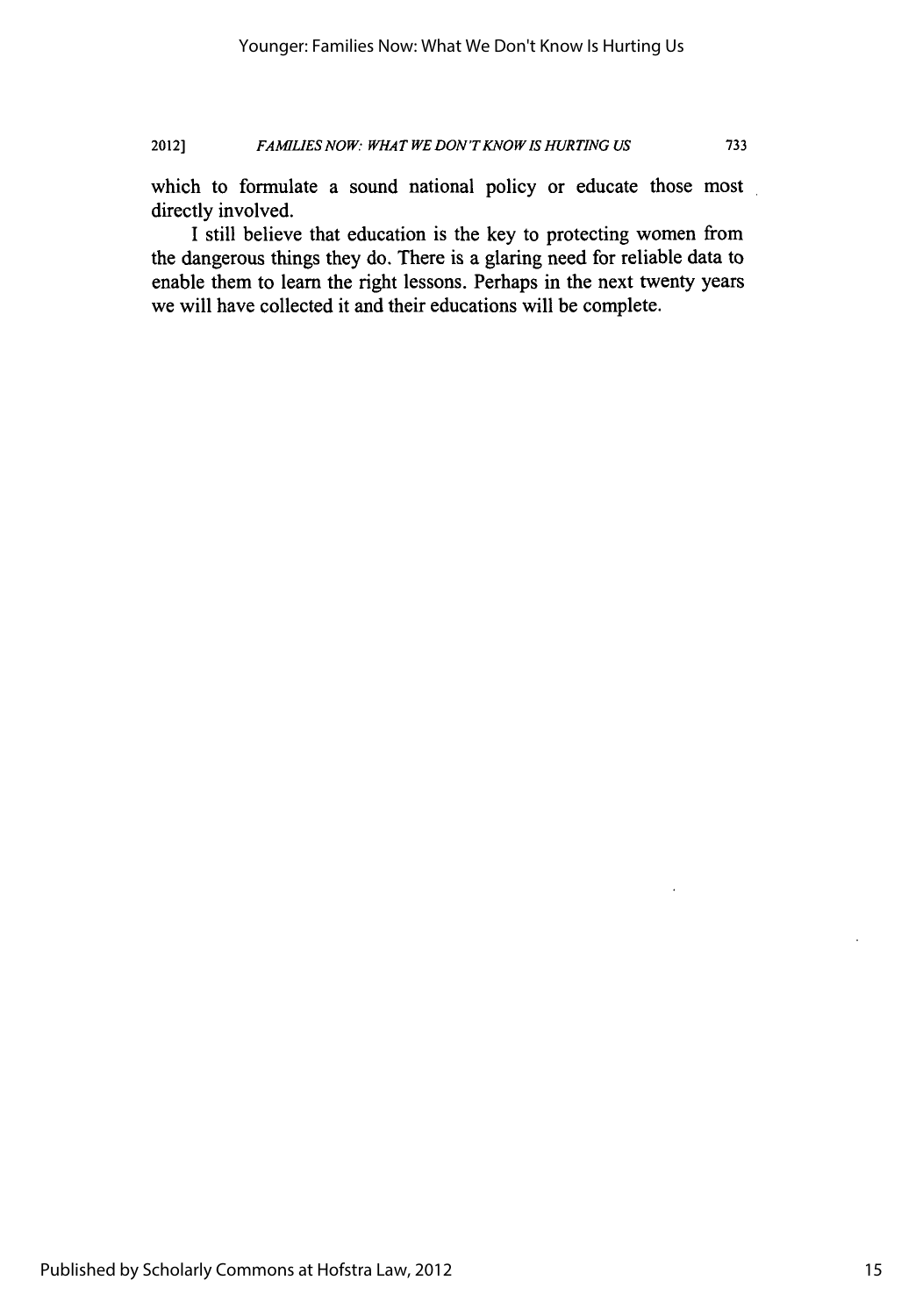# 2012] *FAMILIES NOW" WHAT WE DON'TKNOWIS HURTING US* **733**

which to formulate a sound national policy or educate those most directly involved.

I still believe that education is the key to protecting women from the dangerous things they do. There is a glaring need for reliable data to enable them to learn the right lessons. Perhaps in the next twenty years we will have collected it and their educations will be complete.